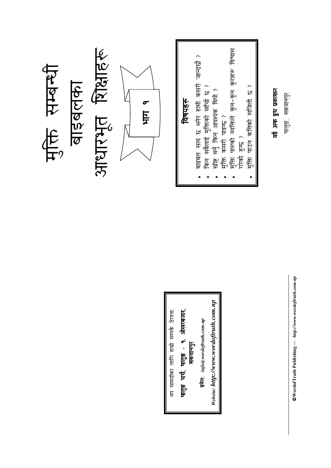

 $\otimes$ WordofTruth Publishing  $-$  http://www.wordoftruth.com.np

वर्ड अफ ड्रुथ प्रकाशन

पालुङ, मकवानपुर

Website: http://www.wordoftruth.com.np पालुङ चर्च, पालुङ - १, ओखरबजार.<br>मकवानपुर इमेल:  $\mathit{info@wordof truth.com.np}$ 

थप सामग्रीका लागि हाम्रो सम्पर्क ठेगाना: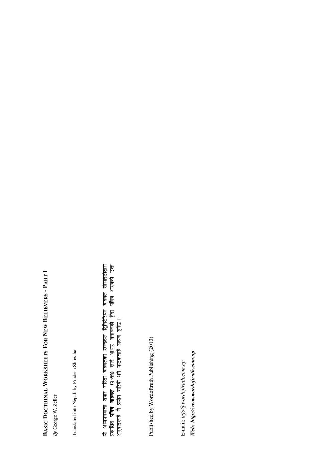## BASIC DOCTRINAL WORKSHEETS FOR NEW BELIEVERS - PART I BASIC DOCTRINAL WORKSHEETS FOR NEW BELIEVERS - PART I

 $By$  George W. Zeller By George W. Zeller Translated into Nepali by Pradesh Shrestha Translated into Nepali by Pradesh Shrestha यो अध्ययनमाला तयार गरिँदा बाइबलक ा खण्डहरू ट्रिनिटेरियन बाइबल सोसाइटीद्वारा k  $\overline{\mathsf{TR}}$ ति **पवित्र बाइबल (२०११)** लाई आधार बनाइस्फो गे हुँदा गवित्र शास्त्रक ) लाई आधार बनाइरुको हुँदा पवित्र शास्त्रको उक्त अनुवादलाई नै प्रयोग गरियो भने पाठक लाई सहज हुनेछ ।<br>"

Published by Wordoftruth Publishing (2013) Published by Wordoftruth Publishing (2013)

Web: http://www.wordoftruth.com.np Web: http://www.wordoftruth.com.npE-mail:  $info@wordof truth.com.np$ E-mail: info@wordoftruth.com.np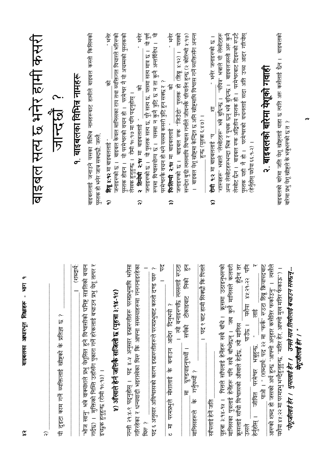| <u>Isl</u> t<br>बाइबलका आधारभूत शिक्षाहरू -<br>$\infty$                                                                                                                                                                   |                                                                                                                                                                                                                                         |
|---------------------------------------------------------------------------------------------------------------------------------------------------------------------------------------------------------------------------|-----------------------------------------------------------------------------------------------------------------------------------------------------------------------------------------------------------------------------------------|
| $\widehat{\alpha}$                                                                                                                                                                                                        | बाइबल सत्य छ भनेर हामी कसरी                                                                                                                                                                                                             |
| مح<br>दुइटा काम गर्ने व्यक्तिलाई खीष्टको के प्रतिज्ञा छ<br>₽                                                                                                                                                              | 2 PILER                                                                                                                                                                                                                                 |
| (शब्दार्थ                                                                                                                                                                                                                 | १. बाइबलका विभिन्न नामहरू                                                                                                                                                                                                               |
| "भोज खानु" भन्ने वाक्यांशले प्रभु केशूसित हुने विश्वासीको घानिष्ट सङ्गतिको बयान<br>गर्दछ) ।   मुक्तिको निम्ति उहाँसँग पुकारा गर्ने हरेकलाई बचाउन प्रभु येशू तत्पर र<br>इच्छुक हुनुहुन्छ (रोमी १०:१३) ।                    | बाइबललाई जनाउने यसका विभिन्न नामहरूबाट हामीले बाइबल कस्तो किसिमको<br>पुस्तक हो भनेर जात्र सक्दछौ; जस्तै,                                                                                                                                |
| <u> १) ऑस्वाले हेर्न जतिकै सजिलो छ (यूहत्रा ३:१४-१४)</u>                                                                                                                                                                  | . भनेर<br>बाइबल केवल मानिसका राय तथा व्यक्तिगत विचारले भरिरुको<br>佰<br>हिब्रू ४:१२ मा बाइबललाई "<br>जनाइरुको छ ।<br>$\widehat{\sigma}$                                                                                                  |
| गत्ती २१:४-९ पढ्नुहोस् ।  पद ४-४ अनुसार इस्रारूलीहरू परमप्रभुमाथि भरोसा<br>गरिरहेका र धन्यवादी भइराखेका थिरु कि आफ्ना समस्याहरूमा गनगनाइरहेका                                                                             | पुस्तक होइन ।  यो परमेश्वरको वचन हो ।  परमेश्वर नै यो अचम्मको पुस्तकको<br>.<br>भनेर<br>क्ष<br>लेखक हुनुहुन्छ ।  रोमी १०:৭७ मा पनि पढ्नुहोस् ।<br><b>२  तिमोथी  २:१४</b> मा  बाइबललाई  "<br>$\widehat{\bm{r}}$                           |
| पद ६ अनुसार अविश्वासको कारण इस्रारूलीहरूले परमप्रभुबाट कस्तो दण्ड पारु ?<br>थिरु ?                                                                                                                                        | जनाइरुको छ ।  यो पुस्तक सत्य छ, पूरै सत्य छ, यसमा सत्य मात्र छ ।  यो पूर्ण<br>रूपमा विश्वासयोग्य छ ।  यसमा न कुनै त्रुहि छ न ता कुनै अन्तर्विरोध ।  यो                                                                                  |
| ٢Ļ<br>बनाउन आदेश दिनुभयो ?<br>$\frac{1}{6}$<br>परमप्रभुले मोशालाई<br>$\overline{\overline{H}}$<br>$\overline{v}$                                                                                                          | . भनेर<br>परमेश्वरकै वचन हो भने यसमा कसरी त्रुटि हुन सक्छ र ?<br>बि<br>फिलिपी २:१४ मा बाइबललाई<br>ଳ                                                                                                                                     |
| निको हुन<br>। त्यो बनाइरुपछि त्यसलाई रुउटा<br>टोकाइबाट<br>सर्पको<br><u>कुण्डयाइनुपर्थ्यौ ।</u><br>के गर्नुपर्थ्यो ?<br>$\overline{H}$<br>मानिसहरूले                                                                       | सन्देश बुद्री त्यसमाथि विश्वास गर्नाले जीवनकै परिवर्तन हुन्छ (२ कोरिन्थी श.१७)<br>बाइबल येशू ख्रीष्टमा केन्द्रित छ अनि ख्रीष्टमाथि विश्वास गर्ने व्यक्तिसँग अनन्त<br>यसको<br>जनाइरण्को छ । बाइबल रुक "जिउँदो" पुस्तक हो (हिब्रू ४:१२) । |
| ।   पद ९ बाट हामी सिक्छौ कि पित्तले<br>सौंपलाई हेर्ने जति                                                                                                                                                                 | <u>हुन्छ (यृहत्रा ६:४७) ।</u>                                                                                                                                                                                                           |
|                                                                                                                                                                                                                           | शास्त्रहरू" भन्नाले "लेखोटहरू" भन्ने बुठिन्छ ।  "पवित्र" भन्नाले यी लेखोटहरू<br>" भनेर जनाइरण्को छ।<br>Ĕ<br>रोमी १.२ मा बाइबललाई "प<br>$\widehat{\bullet}$                                                                              |
| यूहत्रा ३:१४-१५ ।  पित्तले सॉपलाई हेर्नेहरू सबै बाँचे ।  क्रूसमा उठाइनुभरुको<br>मानिसका पुत्रलाई हेर्नेहरू पनि सबै बाँच्नेछन् ।  जब कुनै मानिसले कलवरी<br>हुँदैन तर<br>कूसलाई साँची विश्वासको आँखाले हेर्द्रछ, त्यो मानिस | अन्य लेखोटहरूभन्दा भिन्न र पृथक छन् भन्ने बुठिन्छ ।  बाइबलजस्तो अरू कुनै<br>लेखोट छैन ।  बाइबल रुक अद्वितीय पुस्तक हो ।  परमेश्वरबाट दिइरुको रुउटै                                                                                      |
| ४५:२१-२२ पनि<br>पाउँछ । यशैया<br>to<br>TU<br>TU<br>$\frac{1}{\sqrt{2}}$<br>जीवित परमेश्वर भन्नुहुन्छ.<br>हेर्नुहोस् ।<br>उसले                                                                                             | पुस्तक यही नै हो । परमेश्वरको वचनलाई सदा अति उच्च आदर गरियोस्<br>(हेर्नुहोस् यशैया ६६:१-२) ।                                                                                                                                            |
| त्यस्त<br>र<br>पाओ । " (शब्दार्थ: पद २२ मा "फर्क" रुउटा हिब्रू क्रियापदबाट<br>आरुको शब्द हो जसको अर्थ हुन्छ "आफ्नो अनुहार कसैतिर फर्काउनु" ।                                                                              | २. बाइबलको बारेमा येशूको गवाही                                                                                                                                                                                                          |
| यशैया ४५:२२ मा परमप्रभु भन्दैहुनुहुन्छ. "मतिर हेर, आफ्नो मुख मतिर फेकाऊ") ।                                                                                                                                               | बाइबलको बारेमा जति येशू खीष्टलाई थाहा छ त्यति अरु कसैलाई छैन ।  बाइबलको<br>बारेमा प्रभु येशू ख्रीष्टले के भन्नुभरूको छ त ?                                                                                                              |
| "येपूजीलाई हेर ।   धुमालाई हेर ।    उनले मात्र तिमीलाई बचाउन सक्छन्-<br>येथूजीलाई हेर ।                                                                                                                                   |                                                                                                                                                                                                                                         |

 $\sim$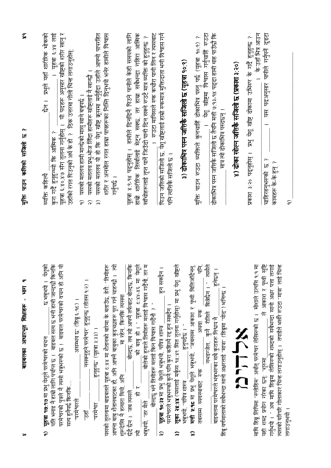| बाइबलका आधारभूत शिक्षाहरू - भाग १                                                                                                                                                                                                                                                  | $\tilde{\mathbf{z}}$<br>Ĉ.<br>मुक्ति पाउन कतिको सजिलो छ                                                                                                                                                                                                                        |
|------------------------------------------------------------------------------------------------------------------------------------------------------------------------------------------------------------------------------------------------------------------------------------|--------------------------------------------------------------------------------------------------------------------------------------------------------------------------------------------------------------------------------------------------------------------------------|
| 守告<br>येशूको<br>किनकि<br>यति भनाइ नै हाम्रो लागि पर्याप्त छ ।  बाइबल सत्य छ भनी हामी जान्दछौ<br>। फ़िम्हूम ब्र<br>परमेश्वरको पुत्रले नै त्यसो भन्नुभरुको छ ।  बाइबल परमेश्वरको वचन हो<br>यूहत्रा १७:१७ मा प्रभु येशूले परमेश्वरको वचन<br>सत्य हुनैपर्छ किनकि<br>$\widehat{\sigma}$ | यी पदहरू अनुसार खीष्टको शरीर खानु र<br>। यहत्रा ६:५४ लाई<br><u>छैन । प्रभुले यहाँ शारीरिक भोकको</u><br>उहाँको रगत पिउनुको अर्थ के हो ?   ठिक उत्तरमा गोलो चिन्ह लगाउनुहोस्:<br>यूहत्रा ६:४०.४७ सँग तुलना गर्नुहोस् ।<br>कुरा गर्दै हुनुहुन्थ्यो कि आत्मिक ?<br>व्यक्ति कहिल्यै |
| नसक्नुहुने परमेश्वर" हुनुहुन्छ (तीतस्र १:२) ।<br>1 (२५:३ छेड़) "छ घम्मस्<br>हुनुहुन्छ" (यूहन्रा ३:३३) ।<br>परमेश्वरले<br>"परमेश्वर<br>$\frac{1}{2}$                                                                                                                                | यसको मतलव यो हो कि येशू खीष्ट कृसमा मर्नुहुँदा उहाँले आफ्नो पापरहित<br>यसको मतलव प्रभु-भोज लिंदा हामीहरू खीष्टलाई नै खान्छौ ।<br>यसको मतलव हामी मान्छेको मासु खाने बन्नुपर्छ ।<br>$\widehat{\alpha}$<br>$\widehat{\sigma}$<br>$\widehat{\widetilde{\mathbf{z}}}$               |
| <b>定</b><br>यसको तुलनामा बाइबलले यूहत्रा ट:४४ मा शैतानको बारेमा के बताउँछ, हेरौ: "तिमीहरू<br>आफ्ना बाबु शैतानबाटका हो, अनि आफ्ने बाबुका कुइच्छाहरू पूरा गर्न चाहन्छो<br>-मा रहेन, किर्नाके त्यसमा _<br>शुरूदेखि नै हत्यारा थियो, अनि                                               | शरीर र अनमोल रगत हाम्रा पापहरूका निम्ति दिनुभयो भनेर हामीले विश्वास<br>गनुपर्छ ।                                                                                                                                                                                               |
| तर म<br>येशूले<br>_ बोल्दछ, तब त्यो आफ्नै तर्फबाट बोल्दछ, किनकि<br><u>्को बाबु</u> हो । " यूहचा ट:४५-४६ मा<br>बोलेको हुनाले तिमीहरू मलाई विश्वास गर्दैनौ<br>$\overline{R}$<br>छँदै छैन। जब त्यसले<br>.<br>厄<br>भन्नुभयो, "तर मैले<br>卮                                             | यूहत्रा ४:९-१४ पदनुहोस् ।  हामीले दिनदिनै पिउने पानीले केही समयको लागि<br>हाम्रो शारीरिक तिर्खालाई मेट्न सक्छ, तर हाम्रा सबैभन्दा गहिरा आतिक<br>$\sim$<br>खाँचोहरूलाई तृप्त पानें जिउँदो पानी दिन सक्ने रुउटै मात्र व्यक्ति को हुनुहुन्छ                                       |
| हुन सक्दैन ।<br>. बोल्दछु भने तिमीहरू मलाई किन विश्वास गर्दैनौ ? "<br><b>यूहजा १०:३४</b> मा प्रभु येशूले भन्नुभयो, पवित्र शास्त्र<br>परमैश्वरले भन्नुभरूको कुनै पनि कुरा कहिल्यै रह हुन सक्दैन ।<br>$\widehat{\bm{r}}$                                                             | पिउन जतिको सजिलो छ, येशू खीष्टलाई हाम्रो स्कमात्र मुक्तिदाता भनी विश्वास गर्न<br>।   रुउटा मानिसले रुक कचौरा पानी लिन र त्यसबाट<br>पनि त्यक्तिकै सजिलों छ ।                                                                                                                    |
| रजीष्ट्रले<br>लूका २४:४४ (यसलाई मर्कूस १४:४९ सित तुलना गर्नुहोस्) मा प्रभु येशू<br>हनुपदेछ । "<br>भन्नुभयो, "पवित्र शास्त्र<br>ଳ                                                                                                                                                   | ३) ढोकाभित्र पस्न जतिकै सजिलो छ (यूहन्ना १०:१)                                                                                                                                                                                                                                 |
| त्यसले<br>Ë.<br><b>मत्ती १:१८</b> मा प्रभु येशूले भन्नुभयो. "जबसम्म आकाश र पृथ्वी बितिजाँदैनन्<br>नभइन्जेल, कुनै रीतिले बित्नेछैन । "<br>अथवा रुक<br>व्यवस्थाबाट राक<br>तबसम्म<br>$\widehat{\bullet}$                                                                              | येशू ख्रीष्टमा विश्वास गर्नुचाहिँ रुउटा<br>पाउन रुउटा व्यक्तिले कुनचाहिँ ढोकाभित्र पस्तु पर्छ (यूहत्रा १०:९) ?<br>信。                                                                                                                                                           |
| हुनेछन् ।<br>हिब्रू वर्णमालाको सबैभन्दा सानो अक्षरलाई "मात्रा" (हिब्रूमा "योद") भनिन्छ ।<br>बाइबलमा परमेश्वरले भन्नुभरूका सबै कुराहरू निश्चय नै                                                                                                                                    | ढोकाभित्र पस्न जतिकै सजिलो छ तैपनि मत्ती ७:१३-१४ पद्दा हामी थाह पाउँछौ कि<br>मात्र त्यो ढोकाभित्र पस्दछन् ।                                                                                                                                                                    |
| メヘヒに                                                                                                                                                                                                                                                                               | ४) ढोका खोल्न जतिकै सजिलो छ (प्रकाश ३:२०)                                                                                                                                                                                                                                      |
| ले आकाश र पृथ्वी सृष्टि<br>माथि हिब्रू लिपिमा "रुलोहिम" अर्थात् परमेश्वर लेखिरुको छ ।  मोशाले उत्पत्ति १:१ मा<br>यही शब्द प्रयोग गरेका छन्: "शुरुमा                                                                                                                                | के उहाँ भिन्न आउन<br>३:२० पदनुहोस् । प्रभु येशू खीष्ट ढोकामा उभिरुर के गर्दै हुनुहुन्छ ?<br><u>रिकार</u>                                                                                                                                                                       |
| त्यसको वरिपरि गोलाकार चिन्ह लगाउनुहोस् ।  तपाईले भर्खरै रुउटा "मात्रा" लाई चिन्ह<br>लगाई<br>गर्नुभयो । " अब माथि हिब्रूमा लेखिरुको शब्दको सबैभन्दा सानो अक्षर पत्ता                                                                                                                | यस पदअनुसार पापीले गर्नुपर्ने दुइटा<br>$\sim$<br>कामहरू के-के हुन् ?<br>चाहिरहनभरूको छ                                                                                                                                                                                         |
| लगाउनुभयो                                                                                                                                                                                                                                                                          | ์ธ                                                                                                                                                                                                                                                                             |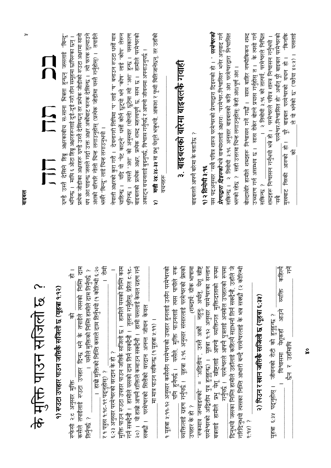|                                                                                                                                                                               | דכ<br>والأواذا                                                                                                                                                                                                                                  |
|-------------------------------------------------------------------------------------------------------------------------------------------------------------------------------|-------------------------------------------------------------------------------------------------------------------------------------------------------------------------------------------------------------------------------------------------|
| के मुक्ति पाउन सजिली छ।?                                                                                                                                                      | にこ<br>にに                                                                                                                                                                                                                                        |
| <u>१) रुउटा उपहार पाउन जत्तिकै स्रजिलो छ (यूहत्रा १:१२)</u>                                                                                                                   | وما<br>معا<br>रुण्डे उस्तै देखिने हिब्रू अक्षरकाबीच स-साना भित्रता हुन्छन् जसलाई                                                                                                                                                                |
| 長<br>一位<br>कसेंले तपाईलाई रुउटा उपहार दिन्छ भने के तपाईले त्यसको निम्ति<br>ब्रि<br>रुफेसी २:८ अनुसार मुक्ति                                                                   | प्रत्येक जोडीका अक्षरहरू रुण्डै उस्तै देखिन्छन् तर प्रत्येक जोडीको रुउटा अक्षरमा सानो<br>भनिन्छ ।   माथि ६ ओटा हिब्रू अक्षरहरूलाई दुई-दुई गरी तीन समूहमा छापिरुका छन् ।                                                                         |
| $\tilde{\mathfrak{c}}$ . $\tilde{\mathfrak{c}}$<br>। यसैले मुक्तिको निम्ति हामीले दाम तिर्नुपर्छ ?<br>। हाम्रो मुक्तिको निम्ति कसले दाम तिर्नुभयो (१ कोरिन्थी<br>तिर्नुपर्छ ? | तपाईले<br>थप अंश पाइन्छ जसले गर्दा उक्त अक्षांबाट फरक देखिन्छ ।  त्यो फरक तुल्याउने<br>अशको वरिपरि गोलो चिन्ह लगाउनुहोस् (प्रत्येक जोडीमा यस्तै गर्नुहोस्) ।                                                                                    |
| 君<br>र १ पत्रस १:१८-१९ पढ्नुहोस्) ?                                                                                                                                           | भरबैरै "बिन्दु" लाई चिन्ह लगाउनुभयो ।                                                                                                                                                                                                           |
| मुक्ति पाउन रुउटा उपहार पाउन जतिकै सजिलो छ ।  हामीले यसको निम्ति काम<br>६.२३ अनुसार परमेश्वरको वरदान के हो ?                                                                  | नेपाली अक्षरको कुरा गरौँ ।   देवनागरी लिपिमा "प" लाई "ष" बनाउन रुउटा धर्सो मात्र<br>चाहिन्छ । यदि यो "पेट काट्ने" धर्सो कोर्न छुट्यो भने "कोष" लाई "कोप" लेख्न<br>पुगिन्छ । त्यस्तै "अंश" को अनुस्वार (थोप्लो) छुटेमा त्वो "अंश" हुन्छ । यसकारण |
| २०) ।  यो हाम्रो आफ्नै शक्तिले कमाउन सक्दैनौ ।  हामी यसलाई केवल ग्रहण गर्न<br>26.2<br>गर्न सक्दैनौ ।  हामीले यसको दाम तिर्न सक्दैनौ ।  तुलना गर्नुहोस्, प्रेरित               | बाइबलको प्रत्येक अक्षर, प्रत्येक शब्द महत्त्वपूर्ण छ, सत्य छ ।  हामीले परमेश्वरको                                                                                                                                                               |
| सक्छौ । परमेश्वरको सित्तैको वरदान अनन्त जीवन केवल                                                                                                                             | अकाट्य वचनलाई बुझ्नुपर्छ. विश्वास गर्नुपर्छ र आफ्नो जीवनमा अपनाउनुपर्छ ।                                                                                                                                                                        |
| मा मात्र पाउन सकिन्छ (१ यूहत्रा ४:११) ।                                                                                                                                       | मत्ती २४:३४-३५ मा प्रभु येशूले भन्नुभयो, आकाश र पृथ्वी बितिजानेछन्, तर उहाँको<br>$\widehat{\mathbf{r}}$                                                                                                                                         |
| १ यूहत्रा ५:११-१२ अनुसार कसैसँग परमेश्वरको उपहार हुनलाई उसँग परमेश्वरको                                                                                                       | वचनहरू                                                                                                                                                                                                                                          |
| $\frac{1}{2}$<br>प्रेमल<br>पनि हुनैपर्छ ।  यसैले, मुक्ति पाउनलाई त्यस पापीले<br>व्यक्तिलाई ग्रहण गर्नुपर्छ ।  यूहत्रा ३:१६ अनुसार संसारलाई परमेश्वरको                         | ३. बाइबलको बारेमा बाइबलके गवाही                                                                                                                                                                                                                 |
| (शब्दार्थ: ग्रीक भाषामा<br>उपहार के हो ?                                                                                                                                      | $\sim$<br>बाइबलले आफ्नै बारेमा के बताउँछ                                                                                                                                                                                                        |
| 'रूकमात्र जन्माइरुको'' = "अद्वितीय", उस्तै अर्को  नहुनु: अर्थात्, पेशू खीष्ट<br>परमेश्वरको अद्वितीय पुत्र हुनुहुन्छ. ।  यूहत्रा १:१२ अनुसार परमेश्वरका सन्तान                 | १) २ तिमोथी ३:१६                                                                                                                                                                                                                                |
| स्वयमा<br>प्रभु येशू खीष्टलाई आफ्नो व्यक्तिगत मुक्तिदाताको<br>गर्नुपर्छ । परमेश्वरले आफ्नै पुत्रलाई अनमोल उपहारको<br>बचलाई हामीले प्रभु                                       | यस पदअनुसार "सबै पवित्र शास्त्र परमेश्वरको प्रेरणाद्वारा दिइरुको हो । " <b><i>परमेश्वरको</i></b><br><i>प्रेरणाद्वारा दिइरुको</i> भन्ने वाक्यांशलाई अक्षरशः "परमे°वर-नि°वासित" भनेर अनुवाद गर्न                                                  |
| स्बन्ध<br>दिनुभयो जसका निर्मित हामीले उहाँलाई कहिल्यै सद्यभर्ना तिर्न सक्दैनौ, उहाँले जे                                                                                      | सकिन्छ । २ तिमोथी ३:१६ अनुसार बाइबलको कति अंश परमेश्वरद्वारा निश्वासित                                                                                                                                                                          |
| गरिदिनुभयो त्यसका निम्ति आभारी बन्दै परमेश्वरलाई के भन्न सक्छौ (२ कोरिन्थी<br>6.66.8                                                                                          | बोल्दाखेरि हामीले शब्दहरू निश्वासन गर्ने गर्छौ ।  सास बाहिर नर्फ्यौकिकन शब्द<br>भरण्को रहेछ ?  सही उत्तरमा चिन्ह लगाउनुहोस्: केही अंश/पूर्ण अंश ।                                                                                               |
| २) पिउन र खान जतिकै सजिलो छ (यूहत्रा ६:३१)                                                                                                                                    | उच्चारण गर्न असम्भव छ । सास रोकेर बोल्ने प्रयास गर्नुहोस् त । के त्यसो गर्न<br>। २ तिमीथी ३:१६ को तात्पर्य, परमेश्वरले निश्चित<br>सकिन्छ ?                                                                                                      |
| यूहत्रा ६:३५ पदनुहोस् । जीवनको रोटी को हुनुहुन्छ ?                                                                                                                            | शब्दहरू निश्वासन गर्नुभयो भन्ने हो ।  परमेश्वरले पवित्र शास्त्र निश्वासन गर्नुभयो ।                                                                                                                                                             |
| 乍<br>व्यक्ति कहिल्यै<br>आउने<br>विश्वासमा येशुकहाँ<br>छेन र उहाँमाथि                                                                                                          | -किनकि<br>परमेश्वर-निश्वासित हो" अर्थात् पूरै बाइबल परमेश्वरको<br>一応<br>पूरे बाइबल परमेश्वरको वचन<br>मुखबाट निस्की आरुको हो।<br>ष<br>रि                                                                                                         |
|                                                                                                                                                                               | यसलाई<br>ले यो भनेको छ" (यशैया ४०:५) ।<br>ি                                                                                                                                                                                                     |

बाइबल

 $\frac{6}{3}$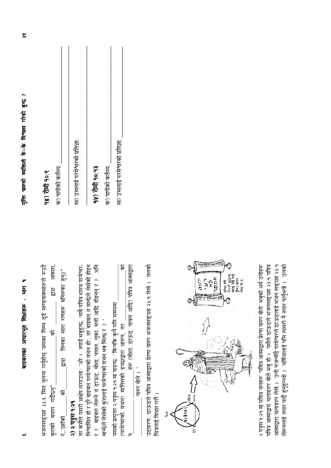| Ę              |
|----------------|
| ı<br>शिक्षाहरू |
| ज़ाधार मृत     |
| शङ्बलक         |

भजनसङ्ग्रह ३३:६ सित तुलना गर्नुहोस् जसका निम्न दुई खण्डवाक्यहरूले रुउटै आकाश. तिनका सारा गणहरू बनिरुका हुन्।" द्वारा  $\overline{\mathcal{F}}$ हारा कराको बयान गर्दैछन्"  $\sqrt{6}$ २) २ पत्रुस १:२१ र. उहाँको

निश्वासित हो र पूरै बाइबल परमेश्वरको वचन हो', तर बाइबल त मान्छेले लेखेको होइन र ? बाइबल लेख्ने त दाऊद, मौशा, लूका, सेही आदि होइनन् र ? अनि तर कसैले यसरी आक्षेप लगाउलाः "अरे । तपाई भन्नुहुन्छ, 'सबै पवित्र शास्त्र परमेश्वर-मान्छेले लेखेको कुरालाई परमेश्वरको वचन भन्न मिल्छ र ? "

ब्र हरू (मोशा, दाऊद, पावल आदि) पवित्र आत्माद्वारा पसको प्रत्युत्तर २ पत्रुस १:२१ मा पाइन्छः "किनकि कुनै पनि समयमा 'परमेश्वरको वचन) मानिसको इच्छाद्वारा आरुन, तर पारुर बोले । " उदाहरणः दाऊदले पवित्र आत्माद्वारा प्रेरणा पास्र भजनसङ्ग्रह २३:१ लेखे । तलको चित्रलाई विचार गरौं ।



आत्माद्वारा चलाइरूर लेखे । उनी नजन्मँदै परमेश्वरले दाऊदलाई भजन सङ्ग्रह २३:१ २ पत्रुस १:२१ मा पवित्र जनहरू "पवित्र आत्माद्वारा प्रेरणा पास्र बोले" भत्रुको अर्थ उनीहरू पवित्रं आत्माद्वारा चलाइरुर बोले भन्नु हो । यसैले दाऊदले भजनसङ्ग्रह २३:१ पवित्र लेरूनलाई तयार पार्दै हुनुहुन्थ्यो । यर्मियालाई पनि त्यसरी नै तयार पार्नुभयो । उनको

गुक्ति पारको व्यक्तिले के-के विश्वास गरेको हुन्छ ?

#### 98) रोमी १०.९

क) पापीको कर्तव्य:

ख) उसलाई परमेश्वरको प्रतिज्ञा:

#### 9५) रोमी १०:१३

क) पापीको कर्तव्य:

ख) उसलाई परमेश्वरको प्रतिज्ञा: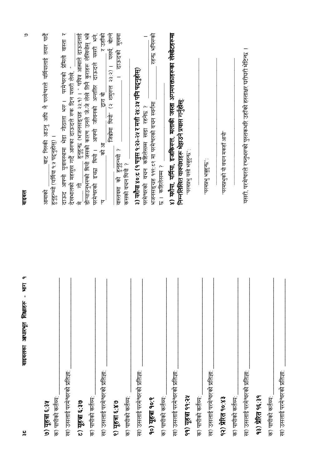| ७) यहन्ना ६:३५                                      | बाट निस्की आउनु अघि नै परमेश्वरले यर्मियालाई तयार पार्दै<br>आमाको        |
|-----------------------------------------------------|--------------------------------------------------------------------------|
| क) पापीको कर्तव्य                                   | हुनुहुन्थ्यो (यर्मिया १:५ पढ्नुहोस्) ।                                   |
| $\mathbf{I}$<br>ख) उसलाई परमेश्वरको प्रतिज्ञा:      | दाऊद आफ्नो युवावस्थामा भेडा गोठाला भरु । परमेश्वरको प्रेमिलो वास्ता र    |
| <b>I</b>                                            | देखभालको महसुस गर्दै आरुका दाऊदले रुक दिन यसरी लेखे, "                   |
| <b>0.3 पहचा ६:३७</b>                                | हुनुहुन्छ (भजनसङ्ग्रह २३:१) । " पवित्र आत्माले दाऊदलाई<br>$\ddot{}$      |
| क) पापीको कर्तव्य:                                  |                                                                          |
| I.                                                  | परमेश्वरको इच्छा थियो।  आफ्नो जीवनको अन्तर्तिर दाऊदले यसरी भने,          |
| ख) उसलाई परमेश्वरको प्रतिज्ञा:                      | र उहाँको<br>द्वारा बो<br>स्र<br>स्र<br>þ.                                |
| ० यहना ६:४७                                         | जिब्रोमा थियो" (२ शमुरुल २३:२) । यसर्थ, बोल्ने                           |
|                                                     | $\frac{1}{2}$<br>वास्तवमा को हुनुहुन्थ्यो ?                              |
| क) पापीको कर्तव्य:                                  | कसको वचन थियो ?                                                          |
| ख) उसलाई परमेश्वरको प्रतिज्ञा:                      | ३) यशैया ४०:८ (१ पत्रुस १:२३-२५ र मत्ती २४:३५ पनि पद्नुहोस्)             |
|                                                     | परमेश्वरको वचन कहिलेसम्म खडा रहनेछ ?                                     |
| १०) यूहन्ना १०:९                                    | रहन्छ भनिरुको<br>भजनसङ्ग्रह ११९:८९ मा परमेश्वरको वचन स्वर्गमा            |
| क) पापीको कर्तव्य:                                  | छ। कहिलेसम्म ?                                                           |
| $\mathbf{I}$                                        | ४) यशैया, यर्मिया, इजकिरुल, मलाकी जस्ता अगमवक्ताहरूका लेखोटहरूमा         |
| $\mathbf{I}$<br>ख) उसलाई परमेश्वरको प्रतिज्ञा:      | निम्नलिखित वाक्याशहरू भेइाउने प्रयास गर्नुहोस्:                          |
| ११ यहन्ना ११:२५                                     | परमप्रभु यस्य भवहन्छ :                                                   |
| क) पापीको कर्तव्य:                                  |                                                                          |
| $\mathbf{I}$<br>L<br>ख) उसलाई परमेश्वरको प्रतिज्ञा: | ्ठ्युटेन्स् संप्रमणम्                                                    |
| १२) प्रेरित १०.४३                                   | "परमप्रभुको यो वचन मकहाँ आयो                                             |
| क) पापीको कर्तव्य:                                  |                                                                          |
| I.<br>ख) उसलाई परमेश्वरको प्रतिज्ञा:                | यसरी, परमेश्वरले रच्नुभरूको पुस्तकर्भारे उहाँको हस्ताक्षर घरीघरी भेटिन्छ |
| 93) प्रेरित १६:३१                                   |                                                                          |
|                                                     |                                                                          |

बाइबल

 $\mathfrak{D}$ 

 $rac{2}{3}$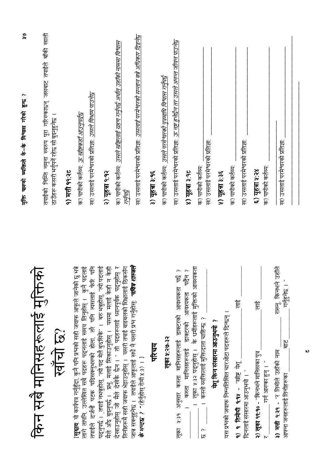|                                                                                                                                                                                                                                                                                   | ్లి<br>م<br>मुक्ति पारफो व्यक्तिले के-के विश्वास गरेको हुन्छ                                                        |
|-----------------------------------------------------------------------------------------------------------------------------------------------------------------------------------------------------------------------------------------------------------------------------------|---------------------------------------------------------------------------------------------------------------------|
| क<br>किन सबै मानिसहरूलाई मुक्ति<br>खाँची छ?                                                                                                                                                                                                                                       | तपाईको निम्ति नमुना स्वरुप पूरा गरिरुकाछन् जसबाट तपाईले बाँकी खाली<br>ठाउँहरू कसरी भर्नुपर्ने रहेछ सो बुझ्नुहुनेछ । |
|                                                                                                                                                                                                                                                                                   | <u>१) मत्ती ११:२८</u>                                                                                               |
| [सूत्राव: यो कार्यपत्र गर्नुहुँदा, कुनै पनि प्रश्नको सही जवाफ आफूले जानेको छु भन्ने<br><b>श्चित्राव</b> यो कायपत्र गनुहुदा, कुन गरा न गरा<br>लागे तापनि, उल्लेखित सबै पदहरू पदनलाई समय लिनुहोस् ।  कुनै पदलाई<br>लागे तापनि, उल्लेखित सबै पदहरू पदनलाई समय ।  कुनै पदलाई फेरि पनि | क) पापीको कर्तव्य: <i>ऊ ख्रीष्टकहाँ आउनुपर्दछ</i>                                                                   |
| तपाईले दर्जनौ पटक पढिसक्नुभरूको होला. तरै पनि त्यसलाई                                                                                                                                                                                                                             | ख) उसलाई परमेश्वरको प्रतिज्ञा: <i>उसले विश्राम पाउने</i> छ                                                          |
| पढ्नुपर्छ । _तपाई नभन्नुहोस्, "त्यो पद मेलै बुरुसिकें" ।  बरु भन्नुहोस्, "त्यो पदलाई<br>न केही                                                                                                                                                                                    | २) यूहन्ना १:१२                                                                                                     |
| तिनीहरूमै सही जवाफ भेट्टाउनुहोस् ।  यसरी तपाई बाइबलको शिक्षालाई ठिकसँग<br>मैले अैरु बुझ्नुपर्छ । प्रभु, मलाई सिकाउनुहोस् । यसमा मलाई केही न केही<br>देखाउनुहोस् जो मैले देखेकै छैन । " ती पदहरूलाई ध्यानपूर्वक पदनुहोस् र                                                         | क) पापीको कर्तव्य: <i>उसले खे<u>षिलाई ग्रहण गर्नु</u>पर्द्ध अर्थात् उहाँको नाममा विश्वास</i><br><u> 11476</u>       |
| शास्त्रले<br>जात्र सक्नुहुनेछ ।   तपाईले आफूलाई सधै नै यसरी प्रभ गर्नुहोस्: <i>"पवित्र</i><br><b>के भन्दछ ?</b> "(हेर्नुहोस् रोमी ४:३) । 1                                                                                                                                        | ख) उसलाई परमेश्वरको प्रतिज्ञाः <i>उसलाई परमेश्वरको सन्तान बन्ने अधिकार दिइने</i> छ                                  |
| पोरचय                                                                                                                                                                                                                                                                             | ३) यूहचा ३:१६                                                                                                       |
| लुका ५:२७-३२                                                                                                                                                                                                                                                                      | क) पापीको कर्तव्य: <i>उसले परमेश्वरको पुत्रमाथि विश्वास गर्नुपर्द्</i>                                              |
| ်<br>ပုံစွ<br>लूका ५:३१ अनुसार कस्ता मानिसहरूलाई डाक्टरको आवश्यकर्ता                                                                                                                                                                                                              | ख) उसलाई परमेश्वरको प्रतिज्ञा: <u>ऊ <i>नष्ट हुनेछैन तर उसले अनन्त जीवन पाउने</i>ख</u>                               |
| पर्दन ?<br>कस्ता मानिसहरूलाई डाक्टरको अविश्यकर्ता                                                                                                                                                                                                                                 | ४) युहना ३.१०                                                                                                       |
| लूका ५:३२ पद्नुहोस् ।  के धर्मीहरूलाई मुक्तिको आवश्यकता<br>। कस्तो व्यक्तिलाई मुक्तिदाता चाहिन्छ ?<br>ن<br>کا                                                                                                                                                                     | क) पापीको कर्तव्य:                                                                                                  |
| येशू किन संसारमा आउनुभयो ?                                                                                                                                                                                                                                                        | ख) उसलाई परमेश्वरको प्रतिज्ञा                                                                                       |
| यस प्रभको जवाफ निम्नलिखित चारओटा पदहरूले दिन्छन् ।                                                                                                                                                                                                                                | ५) यूहना ३:३६                                                                                                       |
| हैं<br>१) १ तिमोथी १:१४ - "स्रीष्ट येशू<br>दिनलाई संसारमा आउनुभयो । "                                                                                                                                                                                                             | ख) उसलाई परमेश्वरको प्रतिज्ञा:<br>क) पापीको कर्तव्य:                                                                |
| हैं<br>२) लूका १९:१० - "किनभने मानिसका पुत्र<br>गर्न आरुका हुन् । "                                                                                                                                                                                                               | क) पापीको कर्तव्य:<br>६) यहना ५:२४                                                                                  |
| रारूनू किनभने उहाँले<br>गनुहुनछ ।<br>$\frac{1}{\overline{6}}$<br>३) मत्ती १:२१ - "र तिमीले उहाँको नाम<br>आफ्ना जनहरूलाई तिनीहरूका                                                                                                                                                 | ख) उसलाई परमेश्वरको प्रतिज्ञा:                                                                                      |
|                                                                                                                                                                                                                                                                                   |                                                                                                                     |

 $\frac{5}{2}$ 

 $\mathbf{v}$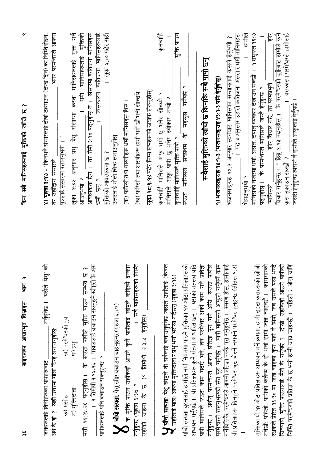| ४) <b>यूहत्रा</b> ३:१७ - "किनभने संसारलाई दोषी ठहराउन (दण्ड दिन) का निम्ति होइन,<br>भनेर परमेश्वरले आफ्ना<br>पुत्रलाई संसारमा पठाउनुभयो । "<br>तर उहाँद्वारा संसारले | मुक्त, गर्न<br>मुक्तिको<br>आवश्यकता छैन । तर रोमी ३:१० पद्नुहोस् त । संसारमा कतिजना मानिसहरू<br>त्यसकारण कतिजना मानिसहरूलाई<br>मानिसहरूलाई<br>लूका शहर अनुसार प्रभु येशू संसारमा कस्ता मानिसहरूलाई<br>ţ<br>धर्मी छन् ?<br>२ मिन्नाउ ।   | । लुका ५:३० पढेर सही<br>(ख) फरिसी तथा शास्त्रीहरू हामी धर्मी छौ भनी सोच्दथे ।<br>(क) फरिसी तथा शास्त्रीहरू धर्मी मानिसहरू थिरु ।<br>उत्तरलाई गोलो चिन्ह लगाउनुहोस्:<br>मुक्तिको आवश्यकता छ ?                                         | कुनचाहिँ<br>मुक्ति पाउन<br><b>लूका १८:१-१४</b> पढेर निम्न प्रश्नहरूको जवाफ लेख्नुहोस्<br>कुनचाहिं मानिसले आफू धर्मी छु भनेर सोच्थ्यो ?<br>मानिसले आफू पापी छु भनेर स्वीकार गऱ्यो ?<br>कुनचाहिं मानिसले मुक्ति पायो ?                           | सबैलाई मुक्तिको खाँचो छ किनकि सबै <u>पापी</u> छन्<br>के महसुस गर्नैपर्छ ?<br>संवप्रथम<br>मानिसले<br>にっか                                                                                                                                                                                                                   | ।  पद ३ अनुसार उहाँले कतिजना असल र धर्मी मानिसहरू<br>भजनसङ्ग्रह १४:२ अनुसार स्वर्गबाट मानिसका सन्तानलाई कसले हेर्नुभयो ?<br>9) भजनसङ्ग्रह १४∶१-३ (भजनसङ्ग्रह ४३:९-३ पनि हेर्नुहोस्)                                                                         | । हामीले<br>稔<br>यसकारण परमेश्वरले हामीलाई<br>मानिसको नजरमा धर्मी, असल, दयालु व्यवहार देखाउन सक्छौ ।   १ शमूरुल १६:७<br>विचार गर्नुहुन्छ । ¨ हिब्रू ४:१३ पढ्नुहोस् ।  के परमेश्वरको दृष्टिबाट हामीले कुनै<br>हेर विचार गर्छ, तर परमप्रभुले<br>पद्नुहोस् ।  के परमेश्वरले मानिसले जस्तै हेर्नुहुन्छ ?<br>जसरी हेर्नुहुन्छ त्यसरी नै हामीले आफूलाई हेर्नुपर्छ ।<br>कुरा लुकाउन सक्छौ ?<br>१ मिन्नुभर्पे ?<br>"मानिसले |
|----------------------------------------------------------------------------------------------------------------------------------------------------------------------|-----------------------------------------------------------------------------------------------------------------------------------------------------------------------------------------------------------------------------------------|--------------------------------------------------------------------------------------------------------------------------------------------------------------------------------------------------------------------------------------|------------------------------------------------------------------------------------------------------------------------------------------------------------------------------------------------------------------------------------------------|---------------------------------------------------------------------------------------------------------------------------------------------------------------------------------------------------------------------------------------------------------------------------------------------------------------------------|-------------------------------------------------------------------------------------------------------------------------------------------------------------------------------------------------------------------------------------------------------------|---------------------------------------------------------------------------------------------------------------------------------------------------------------------------------------------------------------------------------------------------------------------------------------------------------------------------------------------------------------------------------------------------------------------|
| गर्नुहुनेछ । यसैले 'येश्' को<br>ख) परमेश्वरको पुत्र<br>अर्थ के हो ? सही उत्तरमा गोली चिन्ह लगाउनुहोस्<br>जनहरूलाई तिनीहरूका पापहरूबाट<br>क) मसीह                     | न्धर के<br>بہ<br>لگا<br>के रुउटा पापीले मुक्ति पाउन सम्भव<br>।   १ तिमोथी १:१५-१६ ।   पावलताई बचाउन सक्नुहुने खीष्टले<br><u>मिं</u> द्र (B<br>पापीहरूलाई पनि बचाउन सक्नुहुन्छ ?<br><u> १९:२५-२६ पढनहोस् ।</u><br>ग) मुक्तिदाता<br>मृत्त | इन्कार<br>सबै मानिसहरूको निम्ति<br>के मुक्ति पाउन उहाँकहाँ आउने कुनै पापीलाई खीष्टले कहिल्वै<br><mark>्र चौथो सत्यता</mark> : येशू ख्रीष्ट बचाउन चाहनुहुन्छ (यूहत्रा ६:३७)<br>$\overline{\phantom{0}}$<br>गर्नुहुन्छ (यूहत्रा ६:३७ ? | <b>[ पाँची सत्यता</b> : येशू खीष्टले ती सबैलाई बचाउनुहुनेछ जसले उहाँलाई (केवल<br>$\widehat{\boldsymbol{\omega}}$<br>.  उहाँलाई मात्र) आफ्नो मुक्तिदाता र प्रभु भनी भरोसा गर्दछन् (यूहत्रा ३:१<br>उहाँको चाहना के छ (१ तिमोथी २:३-४ हेर्नुहोस्) | अध्ययन गर्नुपर्छ ।  यी प्रतिज्ञाहरू कुनै सेतमा आधारित छन् ।  यसको मतलब यदि<br>गर्नुहुन्छ ।  अर्थात् परमेश्वरले आफ्नो प्रतिज्ञा पूरा गर्न अघि, रुउटा पापीले<br>पाँचौ सत्यता बुझ्नलाई हामीले नयाँ नियममा पाइने मुक्तिका १४ ओटा प्रतिज्ञाहरूको<br>प्रतिज्ञा<br>पापी मानिसले रुउटा काम गदर्छ भने, तब परमेश्वर अर्को काम गर्ने | गनॅबितिकै, परमेश्वरले आफ्नो प्रतिज्ञा पक्कै पूरा गर्नुहुनेछ ।   स्मरण होस्, हामीलाई<br>परमेश्वरले रारूनुभरूको स्ति पूरा गर्नुपर्छ ।  पापी मानिसले आफूले गर्नुपर्ने काम<br>यी प्रतिज्ञाहरू दिनुहुने परमेश्वर ठूट बोल्नै नसक्ने परमेश्वर हुनुहुन्छ (तीतस १:२) | रक्षकले प्रेरित १६:३० मा जान्न चाहेको कुरा यही नै थियो, जब उसले यसो भन्दै<br>चिच्यायो, मुक्ति पाउनलाई मैले के गर्नुपर्छ ?  दोस्रो, उहाँकहाँ आउने पापीको<br>मिन्ति परमेश्वरको प्रतिज्ञा के छ भनी हामी जाहन्छौ । पहिली ३ ओटा चाहिँ<br>मुक्तिका यी १५ ओटा प्रतिज्ञाहरू अध्ययन गर्ने क्रममा, हामी दुइटा कुराहरूको खोजी<br>गर्नेंखें: पहिलो, पापीको कर्तव्य के हो भनी हामी जान्न चाहन्छौ ।  कारागारको                    |

 $\frac{1}{2}$ 

बाइबलका आधारभूत शिक्षाहरू - भाग १

 $\sim$ 

किन सबै मानिसहरूलाई मुक्तिको खाँचो छ ?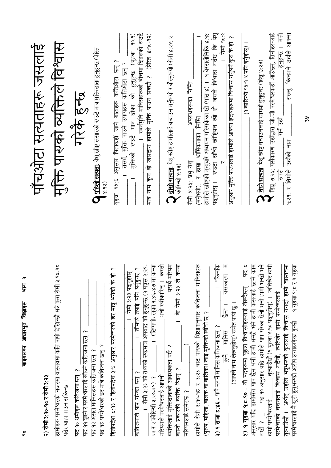| ᡒ<br>बाइबलका आधारभूत शिक्षाहरू - भाग<br>$\frac{1}{\sigma}$                                                                                                                                                                         |                                                                                                                                                                          |
|------------------------------------------------------------------------------------------------------------------------------------------------------------------------------------------------------------------------------------|--------------------------------------------------------------------------------------------------------------------------------------------------------------------------|
|                                                                                                                                                                                                                                    | पाँचओटा सत्यताहरू जस्ताई                                                                                                                                                 |
| हामीहरू परमेश्वरको नजरमा वास्तवमा कति पापी देखिन्छौ भन्ने कुरा रोमी ३:१०-१८<br>२) रोमी ३:१०-१८ र रोमी ३:२३<br>पर्ढर थाहा पाउन सकिन्छ ।                                                                                             | मुक्ति पारुको व्यक्तिले विश्वास                                                                                                                                          |
| पद ११ बुइने र परमेश्वरलाई खोज्ने कतिजना छन् ?<br>पद १० धर्मीहरू कतिजना छन् ?                                                                                                                                                       | गरेके हुन्छ                                                                                                                                                              |
| पद १८ परमेश्वरको डर मात्रे कतिजना छन् ?<br>पद १२ असल मानिसहरू कतिजना छन् ?                                                                                                                                                         | ◘ <u>पहिलो सत्पता</u> : येशू ख्रीष्ट संसारको रुउटै मात्र मुक्तिदाता हुनुहुन्छ (प्रेरित<br>(56.8)                                                                         |
| $\sim$<br>庞<br>हितोपदेश ट:१३ र हितोपदेश ३:७ अनुसार परमेश्वरको डर मात्रु भनेको के                                                                                                                                                   | यूहत्रा १४:६ अनुसार पिताकहाँ जाने बाटाहरू कतिओटा छन् ?                                                                                                                   |
| रोमी ३:२३ पढ्नुहोस् ।<br>। तीमध्ये तपाई पनि पर्नुहुन्छ ?<br>कतिजनाले पाप गरेका छन् ?                                                                                                                                               | 90.9)<br>(यहन्न<br>तसर्थ, मुक्ति पाउने उपायहरू कतिऔटा छन् ?<br>रुउटे मात्र ढोका को हुनुहुन्छ<br>मुक्तिको                                                                 |
| । रोमी ३:२३ को तथ्यको रुकमात्र अपवाद को हुनुहुन्छ (१ पत्रुस २:२१-<br>। (टिप्पणीः लूका १.४६-४७ मा कन्या<br>२२ र २ कोरिन्थी ५:२०-२१) ?                                                                                               | ्। स्वर्गमुनि मानिसहरूको बीचमा दिइरुको रुउटै<br>कुन हो जसद्वारा हामीले मुक्ति पाउन सक्छौ ? (प्रेरित ४:१०-१२)<br>Į<br>F                                                   |
| क्रिके<br>मरियम<br>कस्त्री<br>भनी स्वीकारिन् ।<br>। के रोमी ३:२३ ले<br>। यसर्थ<br>व्यक्तिलाई मुक्तिदाताको आवश्यकता पर्छ ?<br>कस्तो प्रकारकी व्यक्ति थिइन् ?<br>मरियमले परमेश्वरलाई आफ्नो                                           | <mark>े दोस्रो सत्यता</mark> : येशू स्त्रीष्ट हामीलाई बचाउन मर्नुभयो र बौरनुभयो (रोमी ४:२१; २<br>कोरिन्थी २.११)                                                          |
| हामीले रोमी ३:१०-१८ र ३:२३ बाट पारुको शिक्षाअनुसार कतिजना मानिसहरू<br>(पुरुष, महिला, बालक वा बालिका) लाई मुक्तिको खाँचो छ ?<br>मरियमलाई समेट्छ ?                                                                                   | हामीले ख्रीष्टको मृत्युबारे अध्ययन गरिसकेका छौ (पाठ ४) ।   १ थेस्सलोनिकि ४:१४<br>अपराधहरूका निर्मित<br>(मर्नुभयो), र हाम्रा धार्मिकताका निम्ति<br>रोमी ४:२५: प्रभु येशू  |
| यसकारण म<br><u>।</u><br>पकिनकि<br>(आफ्नै नाम लेरूनुहोस्) समेत पापी छु ।<br>$\frac{1}{\sqrt{5}}$<br>३) १ राजा ट:४६ - पापै नगर्ने मानिस कतिजना छन् ?<br>मानिस<br>।<br>हिन्                                                           | पदनुहोस् । रूउटा सौंची खीड़ियन हो जसले विश्वास गर्दछ कि येश्<br>रोमी १०:९<br>अनुसार मुक्ति पाउनलाई हामीले आफ्ना हृदयहरूमा विश्वास गर्नुपर्ने कुरा के हो                  |
| य छ<br>अनुसार यदि हामीसँग पाप छैन भनी हामी भन्छौ भने हामी कसलाई छल्ने काम<br>४) १ यूहजा १:८-१० - यी पदहरूमा यूहजा विश्वासीहरूलाई लेख्दैछन् ।                                                                                       | (१ कोरिन्थी १५:१-४ पनि हेर्नुहोस्) ।                                                                                                                                     |
| तुल्याउँछौ (१ यूहन्ना १:१० पढ्नुहोस्) ।   जतिरबेर हामी<br>् ।  पद १० अनुसार यदि हामीले पाप गरेका छैनौ भनी हामी भन्छौ भने<br>हामी परमेश्वरलाई<br>े<br>हैं<br>न                                                                      | हिब्रू ७:२१: यसैकारण उहाँद्वारा जो-जो परमेश्वरकहाँ आउँछन्, तिनीहरूलाई<br><b>ो तेस्रो सत्यता</b> : येशू स्त्रीष्ट बचाउनलाई सामर्थी हुनुहुन्छ (हिब्रू ७:२ <mark>२</mark> ) |
| तुल्याउँछौ ।  अर्थात् उहाँले भन्नुभरुको कुरालाई विश्वास नगर्दा हामी वास्तवमा<br>परमेश्वरलाई नै ऋूटो हुनुभरूको आरोप लगाइरहेका हुन्छौ ।   १ यूहृत्रा १:८ र १ यूहत्रा<br>परमेश्वरको वचनलाई विश्वास गर्दैनौ, त्यतिखेर हामी परमेश्वरलाई | हुनुहुन्छ । मत्ती<br>राख्नू, किनभने उहाँले आफ्ना<br>गर्न उहाँ<br>१.२१: र तिमीले उहाँको नाम<br>प्राप्त                                                                    |

 $\frac{1}{\alpha}$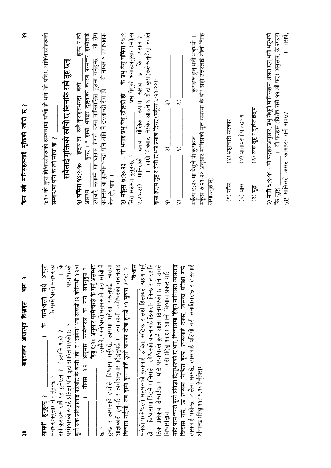| <u>ish</u><br>बाइबलका आधारभूत शिक्षाहरू<br>శ్                                                                                                                                                                                                                                                                                            | $\tilde{\sigma}$<br>$\sim$<br>किन सबै मानिसहरूलाई मुक्तिको साँचो छ                                                                                                                                                                                                                                                           |
|------------------------------------------------------------------------------------------------------------------------------------------------------------------------------------------------------------------------------------------------------------------------------------------------------------------------------------------|------------------------------------------------------------------------------------------------------------------------------------------------------------------------------------------------------------------------------------------------------------------------------------------------------------------------------|
| $rac{1}{\sqrt{6}}$<br>। परमेश्वरको<br>आफूले<br>। के परमेश्वरलं भन्नुभरुका<br>के परमेश्वरले सधै<br>परमेश्वरको रूउटै प्रतिज्ञा पनि ठूटा सावित भरुको छ ?<br>सबै कुराहरू सधै पूरा हुनेछन् ? (उत्पत्ति १:३) ?<br>भत्रुभरुअनुसार नै गर्नुहुन्छ ?<br>सामर्थी हुनुहुन्छ ?                                                                        | <u>१:१० को कुरा विश्वासीहरूको सम्बन्धमा साँचो हो भने (हो पनि), अविश्वासीहरूको</u><br>सबैलाई मुक्तिको खाँचो छ किनकि सबै दुष्ट छन्<br>र लि चि सि कि सि मान मन्दर्भ स                                                                                                                                                           |
| 市市市<br>19:20<br>ा हिब्रू ६:१८ अनुसार परमेश्वरले के गर्नु असम्भव<br>सरमा<br>। तीतस १२ अनुसार परमेश्वरले के गर्न स्क्नुहुन्न ?<br>कुनै रुक प्रतिज्ञालाई पढेपछि के हामी "हो" र "आमेन" भन्न सक्छौ (२ कोरिन्थी<br>। त्यसैले, परमेश्वरले भन्नुभरूको कुरा र<br>हुन्छ र त्यसलाई हामीले विश्वास गर्नुपर्छ, त्यसमा भरोसा रारुनुपर्छ,<br>.م.<br>لگا | हुन्छ । " हाम्रो भयङ्कर दुष्टताको कारण परमेश्वर हामीलाई<br>उपचारै नलाने प्राणघातक रोगले ग्रस्त मानिससित तुलना गर्नुहुन्छ । यो रोग<br>क्यान्सर वा कुष्ठरोगभन्दा पनि अति नै डरलाग्दो रोग हो ।  यो नम्बर १ प्राणघातक<br>हुन्छ, र त्यो<br><b>१) यर्मिया १७:९-१० - "हृदय ता</b> सबै कुराहरुभन्दा बढी<br>रोग हो, पाप । ।<br>असाध्य |
| आज्ञाकारी हुनुपर्छ र त्यसैअनुसार हिंड्नुपर्छ ।  जब हामी परमेश्वरको वचनलाई<br>भनेको परमेश्वरले भन्नुभरुको कुरालाई उचित, सठिक र सही हिसाबले ग्रहण गर्नु<br>हो ।   विश्वासमा हिँड्ने मानिसले परमेश्वरको वचनलाई ठिकसँग लिन्छ र त्यसप्रति<br>विश्वास<br>विश्वास गर्दैनौ, तब हामी कुनचाहिं ठूलो पापको दोषी हुन्छौ (१ यूहत्रा १:१०) ?           | २) मर्कूस ७:२०-२३ - यो भनाइ प्रभु खेष्टिको हो । के प्रभु येशू यर्मिया १७:९<br>। हाम्री भित्रबाट निस्केर आउने ६ ओटा कुराहरूलेरूनुहोस् जसले<br>। प्रभु येशूको भनाइअनुसार (मर्कूस<br>रूपमा खराब छ कि असल?<br>हृदय मौलिक<br>सित सहमत हुनुहुन्छ ?<br>७.२०-२३) मानिसको                                                             |
| यदि परमेश्वरले कुनै प्रतिज्ञा दिनुभरुको छ भने, विश्वासमा हिंड्ने मानिसले त्यसलाई<br>स्ट<br>पर<br>विश्वास गर्छ, ऊ त्यसमा निश्चित हुन्छ, त्यसलाई देरूछ, त्यसको प्रतिक्षा गर्छ,<br>. गरी (हिब्रू ११:८) आफ्नो विश्वास प्रकट गर्छ ।<br>ठिक प्रतिकृपा देखाउँछ ।  यदि परमेश्वरले कुनै आज्ञा दिनुभरुको छ भने<br>विश्वासंद्वारा                   | हाम्रो हृदय दुष्ट र रोगी छ भन्ने प्रमाण दिन्छ (मर्कूस ७:२१-२२):<br>$\widehat{\widetilde{\bm{z}}}$<br>$\widehat{\boldsymbol{\omega}}$<br>$\widehat{\widetilde{\phantom{w}}}\hspace{0.2cm}$<br>$\widehat{\mathbf{r}}$<br>$\widehat{\sigma}$<br>$\widehat{\infty}$                                                              |
| त्पसलाई पर्खन्छ, त्यसैमा भरपर्छ, त्यसलाई बलियो गरी समातिरारूछ र त्यसलाई<br>अँगाल्छ (हिब्रु ११:११,१३ हेर्नुहोस्)                                                                                                                                                                                                                          | मकूंस ७:२१-२२ अनुसार मानिसको मूल समस्या के हो? सही उत्तरलाई गोली चिन्ह<br>कुराहरू हुन् भनी भन्नुभयो ।<br>मर्कूस ७:२३ मा येशूले यी कुराहरू<br>लगाउनुहोस्                                                                                                                                                                      |
|                                                                                                                                                                                                                                                                                                                                          | (४) वातावरणीय प्रदुषण<br>(४) भ्रष्टाचारी सरकार<br>$(9)$ गाँस<br>(२) बास                                                                                                                                                                                                                                                      |
|                                                                                                                                                                                                                                                                                                                                          | (६) रुक दुष्ट र दुषित हृदय<br>(३) युद्ध                                                                                                                                                                                                                                                                                      |
|                                                                                                                                                                                                                                                                                                                                          | ३) मत्ती ७:९-११ - यी पदहरूअनुसार, प्रभु येशूले मानिसहरू असल छन् भनी भन्नुभयो<br>तस्य,<br>। यी पदहरू (विशेष गरी ११ औ पद) अनुसार, के रुउटा<br>दुष्ट मानिसले असल कामहरू गर्न सक्छ?<br>कि दृश                                                                                                                                    |

किन सबै मानिसहरूलाई मक्तिको खाँचो ह $\,$  ?

 $\tilde{\sigma}$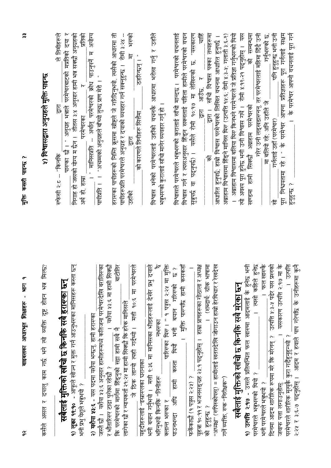| ५) विश्वासद्वारा अनुग्रहले मुक्ति पाइन्छ                              | ले तिमीहरूले<br>" मानिसप्रति -- अर्थात् परमेश्वरको क्रोध पाउनुपर्ने म अयोग्य<br>पारुका छौ । " अनुग्रह भन्नाले परमेश्वरबाटको मप्रतिको दया र<br>निगाह हो जसको योग्य म छैन ।  तीतस ३:४ अनुसार हामी भन्न सक्छौ अनुग्रहको<br>प्रतिकी<br>पापीप्रति । । "अचम्मको अनुग्रहले बाँच्यो तुच्छ प्राण मेरो । "<br>$\overline{R}$<br>$\overline{G}$<br>परमेश्वरका<br>रुफेसी २:८ -- "किनकि<br>अर्थ हो, हाम्रा | हरारूका पापीहरूको निम्ति कूसमा खीष्टले जे गरिदिनुभयो, त्यसैको आधारमा ती<br>भरुको<br>पापीहरूप्रति परमेश्वरले अनुग्रह र दयाको व्यवहार गर्न सक्नुहुन्छ ।  रोमी ३:२४ --<br>$\overline{H}$<br>ठहरिन्छन् । "<br>को कारणले तिनीहरू सित्तैमा<br>हि<br>उहाँको                                                                                                                              | विश्वास भनेको परमेश्वरलाई उहाँको वचनकै आधारमा भरोसा गर्नु र उहाँले<br>भन्नुभरुको कुरालाई साँचो मानेर व्यवहार गर्नु हो ।                                                      | <u>्रीहरू</u><br>विश्वासले परमेश्वरले भनुभरुको कुरालाई साँची मान्दछ ।  परमेश्वरको वचनलाई<br>विश्वास गर्न र त्यसअनुसार हिंड्न सक्नलाई पहिला हामीले परमेश्वरको वचन<br>सुनुपर्छ वा पदनुपर्छ) ।  यसैले रोमी १०:१७ मा लेखिरुको छ. "यसकारण<br>$\frac{1}{2\pi\sqrt{2}}$<br>टू<br>लि | <u>द्वारा । साँचो विश्वास पक्का तथ्यहरूमा</u><br>अब्राहाम विश्वासमा हिंड्ने मानिस थिरु (उत्पत्ति १४:६; रोमी ४:३-५; गलाती ३:६-९)<br>आधारित हुनुपर्छ. हाम्रो विश्वास परमेश्वरको लिखित वचनमा आधारित हुनुपर्छ ।<br>$\sqrt{8}$ | । अब्राहाम विश्वासमा बलिया थिरु किन्यने परमेश्वरले जे प्रतिज्ञा गर्नुभरुको थियो<br>त्वो अवश्य पूरा हुनेछ भनी उनी विश्वास गर्थे ।  रोमी ४:१९-२१ पढ्नुहोस् ।  यस<br>को सम्बन्धमा<br>रवण्डमा हामी सिक्छौ अब्राहाम परमेश्वरको | के परमेश्वर आफ्नो वचनलाई पूरा गर्न<br>पूरा निश्चयतामा रहे । " के परमेश्वर आफ्ना प्रतिज्ञाहरू पूरा गर्नलाई सक्षम<br>गरेर उनी लड्खडारुनन्, तर परमेश्वरलाई महिमा दिँदै उनी<br>पनि हुनुहुन्छ भनी उनी<br>गनुभरुको छ.<br>मा बलियो रहे; अनि उहाँस<br>गर्नलाई उहाँ (परमेश्वर)<br>हनहन्छ ?<br>乍                                    |
|-----------------------------------------------------------------------|-----------------------------------------------------------------------------------------------------------------------------------------------------------------------------------------------------------------------------------------------------------------------------------------------------------------------------------------------------------------------------------------------|-----------------------------------------------------------------------------------------------------------------------------------------------------------------------------------------------------------------------------------------------------------------------------------------------------------------------------------------------------------------------------------|------------------------------------------------------------------------------------------------------------------------------------------------------------------------------|------------------------------------------------------------------------------------------------------------------------------------------------------------------------------------------------------------------------------------------------------------------------------|---------------------------------------------------------------------------------------------------------------------------------------------------------------------------------------------------------------------------|---------------------------------------------------------------------------------------------------------------------------------------------------------------------------------------------------------------------------|---------------------------------------------------------------------------------------------------------------------------------------------------------------------------------------------------------------------------------------------------------------------------------------------------------------------------|
| मिल्छ?<br>करीले असल र दयालु काम गर्छ भने त्यो व्यक्ति दुष्ट होइन भन्न | 9) लूका 9१:9० - आफूले खोज्न र मुक्त गर्न आउनुभरुका मानिसहरू कस्ता छन्<br>सबैलाई मुक्तिको खाँचो छ किनकि सबै <u>हरारुका</u> छन्<br>२) यशैया ५३:६ - यस पदमा यशैया भन्छन्, हामी हरारुका<br>भक्ती प्रभु येशूले भन्नुमयो ?                                                                                                                                                                          | मा परमेश्वरले<br>बाटोतिर<br>जस्तै छौ ।   यशैया ४३:६ अनुसार हार्मीहरूमध्ये कतिजना परमेश्वरदेखि बरालिस्फा<br>। सिक्स्रौ<br>यशेया ५३:६ मा हामी<br>जे ठिक लाग्यो त्यही गर्दथ्यो । मत्ती १०:६<br>लागेका छौं र न्यायकर्ता २१:२५ मा हामी सिक्छौ कि हरेक मानिसले<br>कि परमेश्वरको मार्गमा हिंड्नुको सहा हामी सबै नै<br>यहूदीहरूलाई "इस्रारुलका घरानाका<br>र भौंतारिसर टाढा पुगेका रहेछौ ? | पारिस्का थिरु । " १ पत्रुस २:२४ मा मुक्ति<br>भनी बयान गर्नुभयो ।  मत्ती ९:३६ मा मानिसका भीडहरूलाई देखेर प्रभु दयाले<br>नभरम्का<br>भरिनुभयो किनकि "तिनीहरू<br>क्लान्त भरुका र | <u>। मुक्ति पारुपछि हामी कसकहाँ</u><br>यूहत्रा १०:११ र भजनसङ्ग्रह २३:१ पढ्नुहोस् ।   हाम्रा प्राणहरूका गोठाला र अध्यक्ष<br>ب<br>کا<br>भनी बयान गरिरुको<br>अधि हामी करता थियौ<br>फर्केकाछी (१ पत्रुस २:२१) ?<br>पाउनमन्त्र                                                    | रेखदेख<br>। (शब्दार्थ: ग्रीक भाषामा<br>"अध्यक्ष" (रुपिस्कोपस्) = हामीलाई खतरादेखि जोगाउन हाम्रो हेरविचार र<br>गर्ने व्यक्ति, रुक "निरीक्षक")<br>को हुनुहुन्छ ?                                                            | । त्यसौ कहिले हुनेछ<br><b>१) उत्पत्ति २:१७ -</b> उसले प्रतिबन्धित फल खारुमा आदमलाई के हुनेछ भनी<br>सबैलाई मुक्तिको खाँचो छ किनकि सबै <u>मरेका</u> छन्<br>परमेश्वरले भन्नभरूको थियो ?                                      | यसकारण उत्पत्ति २:१७ मा के<br><b>APP</b><br>उत्पत्ति ५:३-५ पढेर यस प्रश्नको<br>२:२५ र ३:६-७ पढ्नुहोस् ।  आदम र हवाले पाप गरेपछि के उनीहरूमा कुनै<br>। फल खारुकै<br>परमेश्वरले शारीरिक मृत्युकै कुरा गर्दैहुनुहुन्थ्यो ?<br>दिनमा आदम शारीरिक रूपमा मरे कि मरेनन् ?<br>भन्नी परमेश्वरले भन्नभगे ?<br>जवाफ पत्ता लगाउन्हास् |

 $\tilde{\mathbf{z}}$ 

गुक्ति कसरी पाइन्छ ?

 $\widetilde{\sigma}$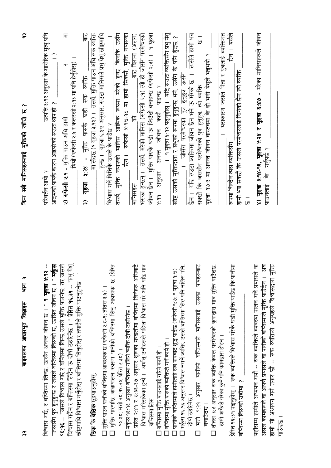| Ę         |
|-----------|
| ı         |
| शिक्षाहरू |
| ज़ाधारमृत |
| बाइबलका   |

१६.९६ -- "जसले विश्वास गर्छ र बर्ण्टितस्मा लिन्छ उसले मुक्ति पाउनेछ; तर जसले विश्वास गर्दैन र बप्तिस्मा लिँदैन ऊ दोषी ठहरिनेछ । " **प्रेरित १६:३१** -- "प्रभु येशू विश्वास गर्छ, र बप्तिस्मा लिन्छ, ऊर्सेग अनन्त जीवन छ । " **१ यृहत्रा ४:१२** --'जससँग पुत्र हुनुहुन्छ र जसले बप्तिस्मा लिरुको छ, ऊसित जीवन छ । " **मर्कूस** स्रीष्टमाथि विश्वास गर्नुहोस् र बप्तिस्मा लिनुहोस् र तपाईले मुक्ति पाउनुहुनेछ । "

### ठिक कि बेठिक छूट्टयाउन्होस्

मुक्ति पारुपछि आज्ञापालन स्वरूप पानीको बप्तिस्मा लिनु आवश्यक छ (प्रेरित □ मुक्ति पाउन पानीको बप्तिस्मा आवश्यक छ (रूफेसी २:८-९; तीतस्र ३:१) ।  $\Box$ 

१०:४८; मत्ती २८:१९-२०; प्रेरित २:३८) ।

⊡ मर्कूस १६:१६ अनुसार बप्तिस्मा नलिने व्यक्ति दोषी ठहरिनेछ ।<br>□ प्रेरित २:४१ र ट:३६-३७ अनुसार शुरूको मण्डलीमा बप्तिस्मा लिनेहरू अधिबाटै

विश्वास गरिसकेका हुन्थे । अर्थात् उनीहरूले पहिला विश्वास गरे अनि पछि मात्र  $\frac{1}{\sqrt{2}}$ 

□ बप्तिस्मा मुक्ति पाउनलाई गरिने कार्य हो ।<br>□ बप्तिस्मा मुक्ति पारºको व्यक्तिले गर्ने कार्य हो ।

मर्कूस १६.१६ अनुसार विश्वास नगर्ने व्यक्ति, उसले बजिस्मा लिरु पनि नलिरु पनि □ पानीको बप्तिस्माले हामीलाई सब पापबाट शुद्ध पार्दछ (रुफेसी १:७: १ यूहत्रा १:७)<br>□ मर्कुस १६:१६ अनुसार विश्वास नगर्ने व्यक्ति, उसले बप्तिस्मा लिरु पनि नलिरु पनि

मत्ती १.२१ अनुसार पानीको बप्लिस्माले मानिसलाई उसका पापहरूबाट दोषी ठहरिनेछ ।  $\Box$ 

बचाउँटछ ।

तीतस ३:५ अनुसार रुक व्यक्ति केवल परमेश्वरको कृपाद्वारा मात्र मुक्ति पाउँदछ हामी आफैले गरेका कुनै पनि कामद्वारा होइन ।  $\Box$ 

प्रेरित १६:३१ पद्नुहोस् । रुक व्यक्तिले विश्वास गरेकै घडी मुक्ति पाउँछ कि पानीमा बण्तिस्मा लिस्को घडीमा ?

ष्ठासल कामहरूले वा अपन्नै प्रयासते बांप्तिस्माले मुक्ति पाउँदैन । अब हामी यो अध्ययन गर्न तयार छौ -- रुक व्यक्तिले अनुग्रहले विश्वासद्वारा मुक्ति पहाँसम्म हामीले अध्ययन गर्यौ -- रुक व्यक्तिले व्यवस्था पालन गर्ने प्रपासले वा । प्रदेखन

 $\tilde{r}$ 

| । उत्पत्ति ३:१९ अनुसार के शारीरिक मृत्यु पनि<br>$\widehat{-}$<br>गदमको पापकै कारण आइपरेको रुउटा श्राप हो ? | 臣<br>थियौं (रुफेसी २:५ र कलस्सी २:१३ मा पनि हेर्नुहोस्)<br>h<br>.) रूफेसी २:१ - मुक्ति पाउन अधि हामी | $\frac{1}{\overline{6}}$<br>हुन्छ ।   यूहृत्रा ६:४७ अनुसार, स्टउटा मानिसले प्रभु येशू खीष्टमाथि<br>वेश्वास गर्ने बित्तिकै उसले के पाउँछ ?<br>मा संदछ (१ यूहत्रा ३:१४) । तसर्थ, मुक्ति पाउन अघि रुक व्यक्ति<br>पारुकै घडी रुक व्यक्ति<br>焦<br>$-85.3$ | मानिस आत्मिक रूपमा मरेको हुन्छ किनकि उसँग<br>मुक्ति नपारुका<br>बिराना (अलग)<br>$\frac{1}{\overline{8}}$<br>छैन । रुफेसी ४:१७-१८ मा हामी सिक्छौ,<br>ি<br>स्त्रर्थ, मुक्ति नपारुको | स्थ्का हुन्छन् ।  तसथ, मरका माानस (स्थित्या राग्गालाला) ।<br>नीवन छैन ।  मुक्ति पार्श्यकै घडी ऊ जिउँदो बनाइन्छ (रुफेसी २:१) ।  १ यूहत्रा | । १ यूहत्रा शं.१२ पढ्नुहोस् ।  यदि स्उटा व्यक्तिसँग प्रभु येश्<br>र्बीष्ट उसको मुक्तिदाता र प्रभुको रूपमा हुनुहुन्छ भने, उसँग के पनि हुँदछ<br>पाइन्छ ?<br>$\frac{1}{\sqrt{6}}$<br>To To To<br>अनन्त | यदि रुउटा व्यक्तिमा जीवन छैन भने ऊ मरेको छ $\,$ । त्यसैले हामी भन्न<br>—<br> ઇ<br>१७:३ मा अनन्त जीवन वास्तवमा के हो भनी पेशूले भनुभयो ?<br>पुत्र हुनुहुन ऊसँग<br>गक्छौ कि जससँग परमेश्वरको पुत्र हुनुहुन्न, त्यो व्यक्ति<br>। जोसँग परमेश्वरका | छन । मसैले<br>यसकारण जसले पिता र पुत्रलाई व्यक्तिगत<br>ामी भन्न सक्छौ कि जसले परमेश्वरलाई चिनेको छैन त्यो व्यक्ति<br><u>पमा चिन्दैन त्यस व्यक्तिसँग</u> | ३: <b>१४-१६, यूहत्रा १:२४ र यूहत्रा ६:४७</b> - मरेका मानिसहरूले जीवन<br>के  गर्नुपर्छ ? |
|------------------------------------------------------------------------------------------------------------|------------------------------------------------------------------------------------------------------|------------------------------------------------------------------------------------------------------------------------------------------------------------------------------------------------------------------------------------------------------|----------------------------------------------------------------------------------------------------------------------------------------------------------------------------------|------------------------------------------------------------------------------------------------------------------------------------------|-----------------------------------------------------------------------------------------------------------------------------------------------------------------------------------------------------|------------------------------------------------------------------------------------------------------------------------------------------------------------------------------------------------------------------------------------------------|---------------------------------------------------------------------------------------------------------------------------------------------------------|-----------------------------------------------------------------------------------------|
| रिवर्तन आयो ?                                                                                              |                                                                                                      | पृहत्रा                                                                                                                                                                                                                                              | ‼निसहरू                                                                                                                                                                          | स्थित                                                                                                                                    | अनुसार<br>$\frac{1}{\sigma}$                                                                                                                                                                        | $\frac{1}{\sqrt{2}}$                                                                                                                                                                                                                           |                                                                                                                                                         | ा) युहत्रा<br>ाउनलाई<br>$\frac{1}{10}$                                                  |

 $\approx$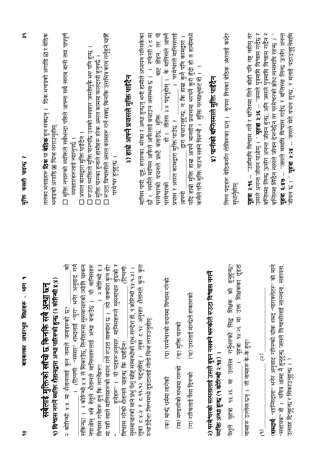| सबैलाई मुक्तिको खाँचो छ किनकि सबै <u>अन्धा</u> छन्                                                                                                                              | तलका भनाइहरू <b>ठिक</b> या <b>बेठिक</b> हुन सक्छन् ।   ठिक भनाइको अगाडि ⊠ र बेठिक                                                                              |
|---------------------------------------------------------------------------------------------------------------------------------------------------------------------------------|----------------------------------------------------------------------------------------------------------------------------------------------------------------|
| १) विश्वास नगर्ने व्यक्ति शैतानद्वारा अन्या पारिस्को हुन्छ (२ कोरिन्थी ४:४)                                                                                                     | भनाइको अगाडि ⊠ चिन्ह लगाउनुहोस्:                                                                                                                               |
| 乍<br><br>(टिप्पणी: 'संसार'' शब्दलाई ''युग'' भनेर अनुवाद गर्न<br>२ कोरिन्थी ४:४ मा शैतानलाई कुन नामले जनाइरुको छ?                                                                | □ मुक्ति नपारुको व्यक्तिले सबैभन्दा पहिले आफ्ना सबै खराब बानी तथा पापपूर्ण<br>व्यवहारहरूलाई त्याग्नुपर्छ ।                                                     |
| सकिन्छ) ।  २ कोरिन्थी ४:४ ले सिकाउँछ, तिनीहरूमा सुसमाचारको ज्योति चम्कन                                                                                                         | □ असल कामद्वारा मुक्ति पाईदैन ।                                                                                                                                |
| नपाओस् भन्ने हेतुले शैतानले मानिसहरूलाई अन्धा बनाउँछ ।  यी मानिसहरू<br>। २ कोरिन्थी ४:३<br>विश्वास गर्नेहरू हुन् कि नगर्नेहरू?                                                  | □ रुउटा व्यक्तिले मुक्ति पारुपछि उसको व्यवहार जस्तोसुकै भरु पनि हुन्छ ।<br>। मुक्ति पारुका हुनाले हामीहरू हरेक असल काममा फलदायी हुनुपर्छ ।                     |
| हुनेहरू' ।  यी पदहरूअनुसार, मानिसहरूले सुसमाचार बुंद्रको र<br>शैतानले चाहन्छ कि चाहँदैन?<br>ंकुन हो?<br>मा यही खाले मानिसहरूको बयान गर्ने रुउटा वाक्यांश छ । त्यो वाक्यांश      | □ रुउटा विश्वासीले असल कामहरू गर्न सक्छ किनकि उसमित्र काम गर्नुहुने चाहिँ<br>परमे°वर हुनुहुन्छ ।                                                               |
| सुसमाचारको माने प्रभु येशू खीष्ट सम्बन्धीको शुभ-सन्देश हो, १ कोरिन्थी १५:१-११) ।<br>विश्वास गरेको शैतानले चाहन्छ कि चाहँदैन?                                                    | ३) हाम्रो आफ्नै प्रयासले मुक्ति पाईंदैन                                                                                                                        |
| क्रन कुरा<br>लूका ट:४-४ र ट:१९-१२ पढ्नुहोस् । लूका ट:१२ अनुसार शैतानले ।<br>रुचाउँदैन? निम्नमध्ये दुइटालाई गोलो चिन्ह लगाउनुहोस्:                                               | मानिस पापी. दुष्ट. हरारुका. मरेका र अन्धा हुन्छन् भनी हामीले अध्ययन गरिसकेका<br>छौ । त्यसैले मानिस आफैलो अफिलाई बचाउन असम्भव छ । । रुफेसी २:ट मा               |
| (घ) परमेश्वरको वचनमा विश्वास गरेको<br>(क) मान्छे धर्ममा लागेको                                                                                                                  | बाट होइन, तर यो<br>्हो । तीतस ३:५ पदनुहोस् ।  के मानिसले आफ्नै<br>परमेश्वरको वचनले प्रस्टै बताउँछ, मुक्ति <sub>-</sub><br>परमेश्वरको                           |
| (ड) मुक्ति पारुको<br>(ख) मण्डलीको सभामा गरुको                                                                                                                                   | परमेश्वरले मानिसलाई<br>द्वारा बचाउनुहुन्छ, न कि हाम्रा कुनै पनि कामद्वारा ।<br>प्रयास र असल कामद्वारा मुक्ति पाउँछ ?<br>医房                                     |
| (च) उसलाई मान्छेले हप्कारुको<br>(ग) गरिबलाई पैसा दिसको                                                                                                                          | यदि हाम्रो मुक्ति हाम्रा आफ्नै मानवीय प्रयासमा भरपर्ने कुरो हुँदी हो त हामीमध्ये<br>कसैले पनि मुक्ति पाउन सक्ने धिरुनौ ।   मुक्ति परमप्रभुबाट हो ।   ।         |
| <b>TF</b><br>२) परमेश्वरको सत्यतालाई उसले बुझ्न नसक्ने भरूकोले रुउटा विश्वास<br>व्यक्ति अन्धा हुन्छ (१ कोरिन्थी २:१४)                                                           | ४) पानीको बप्तिस्माले मुक्ति पाईँदैन                                                                                                                           |
| यूहचा १५:२६ मा उक्त शिक्षकका दुइटा<br>हुनुहुन्छ:<br>यूहत्रा १४:२६ मा उल्लेख गर्नुभरुको सिद्ध शिक्षक को<br>र्चेहरू                                                               | निम्न पदहरू बेठिकसँग लेखिरुका छन् ।   कृपया तिनका बेठिक अंशलाई कार्टर<br>सुधानुहोस्                                                                            |
| नामहरू उल्लेख छन् । ती नामहरू के-के हुन्?                                                                                                                                       | यूहबा ३:१६ -- "उहाँमाथि विश्वास गर्ने र बप्तिस्मा लिने कोही पनि नष्ट नहोस् तर                                                                                  |
| $\widehat{\mathcal{C}}$<br>$\widehat{\epsilon}$                                                                                                                                 | उसले अनन्त जीवन पाओस् । " <b>यूहत्रा ३:३६ --</b> "जसले पुत्रमाथि विश्वास गर्दछ र<br>बर्जिस्मा लिन्छ ऊसँग अनन्त जीवन हुन्छ; अनि जसले पुत्रमाथि विश्वास गर्दैन र |
| ंको माने<br>सहायता.<br>( <b>शब्दार्थ</b> : ''शान्तिदाता'' भनेर अनुवाद गरिरुको ग्रीक शब्द ''पाराक्लेटरू'<br>"सहायक" हो ।   पवित्र आत्मा नै हुनुहुन्छ जसले विश्वासीलाई सान्त्वना. | बप्तिस्मा लिंदैन त्यसले जीवन देरूनेछैन तर परमेश्वरको क्रोध त्यसमाथि रहन्छ । "<br>यूहत्रा ६:४७ -- "जसले ममाथि विश्वास गर्दछ र बण्तिस्मा लिन्छ ऊसँग अनन्त        |
| उत्साह दिनुहुन्छ र सिकाउनुहुन्छ । )                                                                                                                                             | जीवन छ । " <b>यूहत्रा श.२४ --</b> जसले मेरो वचन सुन्छ, र मलाई पठाउनुहुनेमाथि                                                                                   |

 $\frac{1}{2}$ 

र्गुक्ति कसरी पाइन्छ ?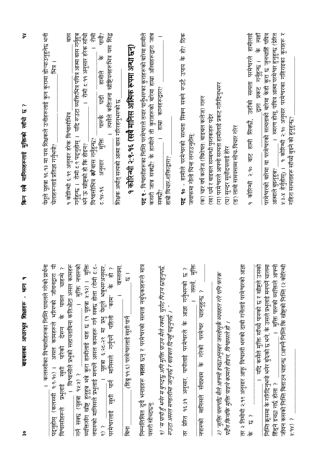| ノン・ディー・エム・デート・・・・・・                                                                                                                                                                                                                                                                                                                                                                                 | ディー・ショット<br>アニノ インニュー                                                                                                                                                                                                             |
|-----------------------------------------------------------------------------------------------------------------------------------------------------------------------------------------------------------------------------------------------------------------------------------------------------------------------------------------------------------------------------------------------------|-----------------------------------------------------------------------------------------------------------------------------------------------------------------------------------------------------------------------------------|
| असल कामहरूले भरिसको जीवनद्वारा यी<br>। कलस्सीका विश्वासीहरूका निर्मित पावलले गरेको प्रार्थना<br>पदनुहोस् (कलस्सी १.९-१०) ।                                                                                                                                                                                                                                                                          | येशूले यूहत्रा १६:१३ मा यस शिक्षकले उनीहरूलाई कुन कुरामा डोऱ्याउनुहुनेछ भनी<br>一臣<br>चेलाहरूलाई प्रतिज्ञा गर्नुभयो?                                                                                                               |
| मुक्ति नपारुको<br>्। विश्वासीले प्रभुको सहायताबिना कतिओटा असल कामहरू<br>परिको देख्न के पावल चाहन्थे ?<br>विश्वासीहरूले प्रभुलाई खुशी<br>गर्न सक्छ (यूहत्रा १५:५) ?                                                                                                                                                                                                                                  | हास<br>गर्नुहुन्छ ।  रोमी ट:९ पढ्नुहोस् ।  यदि रुउटा व्यक्तिभित्र पवित्र आत्मा बास गर्नुहुत्र<br>।   रोमी ट:११ अनुसार हरेक सॉंचो<br><u>१ कोरिन्थी ६.१९ अनुसार हरेक विश्वासीभित्र</u><br>भने ऊ खीष्टको हो कि होइन?                 |
| $\overleftarrow{\mathbb{F}}$<br>नपारुको मानिसले प्रभुलाई मनपर्ने असल कामहरू गर्न सक्छ होला (रोमी ट:ट-<br>यूहत्रा ६:२८-२९ मा प्रभु येशूले भन्नुभस्थनुसार.<br>यूहत्रा ६:२८-२९ मा प्रभु येशूले भनुभस्थनुसार.<br>मनिस्के गर्नपर्ने पहिलो "काम" के हो ?<br>व्यक्तिसँग खीष्ट हुनुहुत्र भन्ने कुरा हामीलाई थाह छ (१ यूहत्रा १:१२) ।<br>खुशी पार्न मानिसले गर्नुपर्ने पहिलो<br>परमेश्वरलाई<br>$\frac{2}{3}$ | पी?<br>। त्यसैले कतिजना खीष्टियनहरूभित्र यस सिद्ध<br>怎<br>$\frac{1}{6}$<br>हामीले<br>$\overline{\mathbb{F}}$<br>के लेमि<br>पश्चिम<br>$\bigoplus_{i=0}^{\infty}$<br>विश्वासीभित्र <i>को</i> बास गर्नुहुन्छ?<br>अनुसार<br>$26-48-2$ |
| वास्तवमा,<br>$\frac{-}{\sqrt{3}}$<br>(हिब्रू ११:६) परमेश्वरलाई खुशी पार्न<br>运                                                                                                                                                                                                                                                                                                                      | १ कोरिन्थी २:९-१६ (सबै मानिस आत्मिक रूपमा अन्धा छन्)<br>शिक्षक अर्थात् सत्यको आत्मा बास गरिरहनुभरुको छ                                                                                                                            |
| निम्नलिखित दुवै भनाइहरू <b>गलत</b> छन् र परमेश्वरको सत्यता नबुरेकाहरूले मात्र<br>यसरी सोच्दछन्                                                                                                                                                                                                                                                                                                      | पद १ - विश्वासीहरूका निम्ति परमेश्वरले तयार पार्नुभरुका कुराहरूको बारेमा हामीले<br>कसरी जान्न सक्छौ? के हामीले ती कुराहरूको बारेमा हाम्रा ऑखाहरूद्वारा जान                                                                        |
| १) "म पापी हुँ भनेर म बुनदछु अनि मुक्ति पाउन मैले रक्सी. चुरोट पिउन छाइनुपर्छ:<br>रुउटा असल मण्डलीमा जानुपर्छ र बाइबल दिनहुँ पढ्नुपर्छ । "                                                                                                                                                                                                                                                          | हाम्रा कानहरूद्वारा?<br>हाम्री विचार-शक्तिद्वारा?<br>सक्छो?                                                                                                                                                                       |
| $\frac{\mathbf{f}}{\mathbf{f}}$<br>بہ<br>لگا<br>तसर्थ,<br>प्रेरित १६:३१ अनुसार, पापीलाई परमेश्वरले के आज्ञा गर्नुभरुको<br>।<br>टि                                                                                                                                                                                                                                                                   | <b>90 - हामीले परमेश्वरको सत्यता सिक्न सक्ने रुउटै उपाय के हो? ठिक</b><br>जवाफमा गौली चिन्ह लगाउनुहोस्:<br>벌                                                                                                                      |
| $\mathbf{I}$<br>नपारुको मानिसले र्सवप्रथम के गरेको परमेश्वर चाहनुहुन्छ ?                                                                                                                                                                                                                                                                                                                            | (क) चार वर्ष कलेज (विशेषतः बाइबल कलेज) गरूर<br>(ख) धर्म र बाइबल सम्बन्धी पुस्तकहरू पढेर                                                                                                                                           |
| २) "मुक्ति पारूपछि मैले आफ्नो इच्छाअनुसार जस्तोसुकै व्यवहार गरे पनि फरक<br>पर्दैन किनकि मुक्ति पाइने कामले होइन, विश्वासले हो ।                                                                                                                                                                                                                                                                     | (ग) परमेश्वरले आफ्नो सत्यता हामीलाई प्रकट गरिदिनुभरूर<br>लामी समयसम्म सोच-विचार गरेर<br>(घ) सुन्दर सूर्योदयलाई हेरेर                                                                                                              |
| तर २ तिमोथी २:१९ अनुसार आफू विश्वासी भरूको दाबी गर्नेलाई परमेश्वरको आज्ञा<br>بہ<br>لگا<br>$\frac{1}{6}$                                                                                                                                                                                                                                                                                             | कोरिन्थी २:१० बाट हामी सिक्छौ, उहाँको सत्यता परमेश्वरले हामीलाई<br>$\widehat{\mathfrak{b}}$<br>$\sigma$                                                                                                                           |
| उसको<br>चालमा<br>निम्ति क्रूसमा के गरिदिनुभयी भनेर बुरुको छ भने. के उसले प्रभुलाई मनपर्ने<br>। यदि कसैले मुक्ति सॉच्चे पारुको छ र खीष्टले                                                                                                                                                                                                                                                           | के त्यहाँ<br>परमेश्वरको बारेमा वा परमेश्वरको सत्यताको बारेमा केही कुरा छ जुनचाहिँ पवित्र<br><u>द्वारा प्रकट गर्नुहुन्छ ।</u>                                                                                                      |
| 医房<br>। मुक्ति पारुको व्यक्तिले<br>हिंड्ने इच्छा गर्छ होला ?                                                                                                                                                                                                                                                                                                                                        | स्मरण होस्, पवित्र आत्मा परमेश्वर हुनुहुन्छ (प्रेरित<br>आत्माले बुझ्नुहुच?                                                                                                                                                        |
| कोरिन्थी<br>जीवन कसको निम्ति बिताउन चाहन्छ (आफ्नै निम्ति कि खीष्टको निम्ति (२ व<br>$\delta$ (kb-k                                                                                                                                                                                                                                                                                                   | <u>१ कोरिन्थी २:१० अनुसार परमेश्वरका गहिराइका कुराहरू र</u><br>गहिरा सत्यताहरू साँच्चे बुझ्ने को हुनुहुन्छ?<br>५:३-४ हेर्नुहोस्) ।                                                                                                |

किन सबै मानिसहरूलाई मक्तिको खाँचो छ ?

 $\tilde{\sigma}$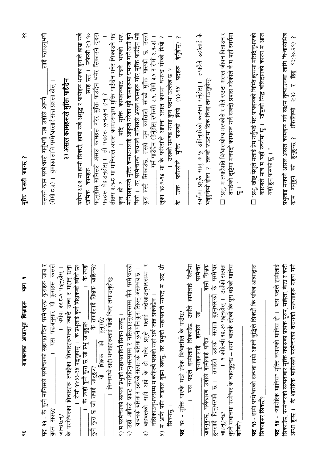| ىپە                            | बाइबलका आधारभूत शिक्षाहरू - भाग                                                                                                                             | $\tilde{\mathbf{r}}$<br>गुक्ति कसरी पाइन्छ ?                                                                                                                |
|--------------------------------|-------------------------------------------------------------------------------------------------------------------------------------------------------------|-------------------------------------------------------------------------------------------------------------------------------------------------------------|
| बुझ्न सक्छ?                    | पद ११ - के कुनै मानिसले परमेश्वरको सहायताबिना परमेश्वरका कुराहरू जान्न र<br>कसले<br>। यस पदअनुसार यी कुराहरू                                                | लाई पठाउनुभयो<br>(रोमी ८:३) ।   थुमाका लागि परमेश्वरलाई सदा प्रशंसा होस् ।<br>नसक्ने काम परमेश्वरले गर्नुभयो जब उहाँले आफ्नै                                |
| $\sum_{i=1}^{\infty}$          | के परमेश्वरका विचारहरू तपाईका विचारहरूभन्दा ज्यादै उच्च र महान् छन्?<br>। यशेया ५५:८-९ पढ्नुहोस् ।                                                          | २) असल कामहरूले मुक्ति पाइँदैन                                                                                                                              |
|                                | के त्यहाँ<br>।  रोमी ११:३३-३४ पद्नुहोस् ।  के प्रभुलाई कुनै शिक्षकको खाँची छ?<br>के त्यहाँ कुनै कुरा छ जो प्रभु जात्रुहुन?                                  | रुफेसी २:१-१०<br>यशैया ६४:६ मा हामी सिक्छौ, हामी सबै अशुद्ध र पापीहरू भरुका हुनाले हाम्रा सबै<br>धार्मिक कामहरु                                             |
|                                | के तपाईलाई शिक्षक चाहिन्छ?<br>हनपद्यी<br>$\overline{\phantom{a}}$<br>यो शिक्षक को<br>कुनै कुरा छ जो तपाई जान्नुहुन्न?                                       | पद्नुहोस् मानिसले असल कामहरू गरेर मुक्ति पाउँदैन भनेर सिकाउने दुइटा<br>सरह छन्।<br>पदहरू भेइाउनुहोस् । ती पदहरू कुन-कुन हुन् ?                              |
|                                | ।   निम्नमध्ये सही भनाइहरूलाई गोली चिन्ह लगाउनुहोस्:                                                                                                        | तीतस ३:१-८ मा मानिसले असल कामहरूद्वारा मुक्ति पाउँदैन भनेर सिकाउने पद                                                                                       |
|                                | २) उहाँ आफैले प्रकट नगरिदिनुभरुसम्म र नसिकाउनुभरुसम्म मैले परमेश्वरको<br>१) म परमेश्वरको सत्यता प्रभुको सहायताबिनै सिक्न सक्छु ।                            | _ । यदि मुक्ति कामहरूबाट पाइने भरुको भरु.<br>मानिसहरूले मुक्ति कमाउनलाई आफूले गरेका थुप्रै कामहरूमा घमण्ड गर्ने ठाउँ हुने<br>रे हो ?                        |
| $\widehat{\widetilde{\bm{z}}}$ | $\mathsf{h}\mathsf{v}$<br>वचनको बारेमा र उहाँको सत्यताको बारेमा कुनै पनि कुरा सिक्नु असम्भव छ ।<br>बाइबलको सही अर्थ के हो भनेर प्रभुले मलाई नदेखाउनुभरुसम्म | थियो । तर परमेश्वरको वचनले मानिसले असल कामहरू गरेर मुक्ति पाउँदैन भन्ने<br>कुरा प्रस्टै सिकाउँछ, तसर्थ जुन व्यक्तिले साँच्चै मुक्ति पारुको छ, उसले          |
|                                | नसिकाउनुभरुसम्म म कहिल्यै यसको सही अर्थ जान्न सक्नेछैन ।                                                                                                    | गर्न पाउँदैन (हेर्नुहोस् रुफेसी २:९, रोमी ३:९ र रोमी ४:१-४) ।                                                                                               |
| सिक्नेछू ।                     | अरु धेरै<br>४) म अफि पनि बाइबल बुझ्न सक्छु, तर प्रभुको सहायताले सायद म                                                                                      | १८.९-१४ मा के फरिसीले आफ्ना असल काममा घमण्ड गरेको थियो ?<br>उसको घमण्ड गराइ कुन पदमा उल्लेख छ ?<br>्का<br>टू                                                |
| ᄫ                              | 9२ - मुक्ति पारुकै घड़ी हरेक विश्वासीले के पाउँछ?                                                                                                           | थियो (१३-१४ पदहरू हेर्नुहोस्) ?<br>फरिसीले मुक्ति पारण्को<br>$\frac{1}{2}$<br>$\frac{1}{6}$                                                                 |
|                                | 医包<br>हामीलाई<br>। यस पदले हामीलाई सिकाउँछ, उहाँले                                                                                                          |                                                                                                                                                             |
|                                | शिक्षक<br>परमेश्वर<br>信<br>$\overline{5}$<br>हामीले<br>चाहनुहुन्छ, यसैकारण उहाँले हामीलाई पवित्र<br>कराहरूलाई                                               | स्वर्गमा प्रभुकै सामु आफू उभिनुपरेको कल्पना गर्नुहोस् ।  तपाईले उहाँलाई के<br>भन्नुहुनेथ्यो होला ?  तलको रुउटामा ठिक चिन्ह लगाउनुहोस्:                      |
| चाहनुहन्छ?                     | परमेश्वर<br>् । १ कोरिन्थी १४:२० पढ्नुहोस् ।  उहाँको सत्यता<br>$\frac{1}{6}$<br>हुनलाई दिनुभरुको छ। तपाईले उहाँको सत्यता बुइनुभरुको                         | □ "प्रभु, म तपाईप्रति विश्वासयोग्य भरूकोले र मैले रुउटा असल जीवन बिताउन र                                                                                   |
|                                | बुइने सवालमा परमेश्वर के चाहनुहुन्छ -- हामी बालकै रहेको कि पूरा बढेको मानिस                                                                                 | तपाईको दृष्टिमा मनपदों कामहरू गर्न सक्दो प्रयास गरेकोले नै म यहाँ स्वर्गमा                                                                                  |
| बनको?                          |                                                                                                                                                             | :<br> -<br> I                                                                                                                                               |
| सिकाइस्र सिक्छों?              | पद १३ - हामी परमेश्वरको सत्यता हाम्रो आफ्नै बुद्धिले सिक्छौ कि पवित्र आत्माद्वारा                                                                           | □ "प्रभु, खीष्ट येशूले मलाई प्रेम गर्नुभई मेरा पापहरूको निम्ति क्रूसमा मरिदिनुभरुको<br>कारणले मात्र म यहाँ स्वर्गमा छु ।   खीष्टको सिद्ध बलिदानको कारण म आज |
|                                | <b>पद १४ - "शा</b> रीरिक मानिस" मुक्ति नपारुको मानिस हो ।  यस पदले हामीलाई                                                                                  | यहाँ हुन पारुको छु । "                                                                                                                                      |
|                                | सिकाउँछ, परमेश्वरको सत्यताबारे मुक्ति नपारुको प्रत्येक पुरुष, महिला, केटा र केटी                                                                            | प्रभुलाई मनपर्ने असल-असल कामहरू गर्न सक्षम तुल्याउनका लागि विश्वासीभित्र                                                                                    |

 $\frac{8}{3}$ 

(फिलिप्पी २:१३ र हिंबू १३:२०-२१) ?

हनुहन्छ ?

 $\overline{\mathcal{F}}$ 

काम गर्नुहुने

अन्धा हुन्छ । के शारीरिक मानिसले परमेश्वरको वचनको सत्यताहरू ग्रहण गर्न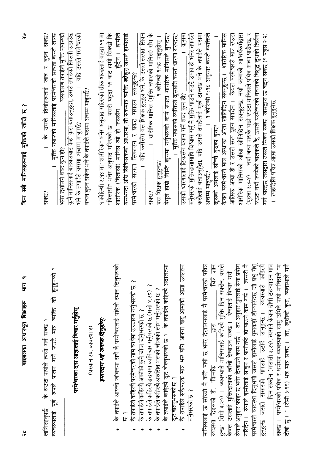|                                | సి<br>$\sim$<br>किन सबै मानिसहरूलाई मुक्तिको साँचो छ                                                                                                                                                                                                                                                                                                                                                                                                                  |
|--------------------------------|-----------------------------------------------------------------------------------------------------------------------------------------------------------------------------------------------------------------------------------------------------------------------------------------------------------------------------------------------------------------------------------------------------------------------------------------------------------------------|
|                                | कुनै मानिसलाई बाइबलबाट केही कुरा बताउनुहुँदा, उसले तपाईको खिल्ली उडाउँछ<br>र्गाद्दे उसले परमेश्वरको<br>सक्छ?<br>मुक्ति नपारुको मानिसलाई परमेश्वरको सत्यता कस्तो लाग्छ<br>यसकारण तपाईले मुक्ति नपारुको<br>के उसले तिनीहरूलाई जान्न र बुझ्न<br>वचन बुझ्न सकेन भने के तपाईले यसमा अचम्म मात्रुपर्छ?<br>$\overline{a}$<br>भने के तपाईले यसमा अचम्म मात्रुपर्छ?<br>भनेर दर्शाउने शब्द कुन हो?<br>सक्छ?                                                                     |
| $\overline{a}$                 | शारीरिक मानिस (मुक्ति नपारुको मानिस) सँग के<br>१ कोरिन्थी २:१४ मा ''शारीरिक'' भनेर अनुवाद गरिरुको ग्रीक शब्दलाई यहूदा १९ मा<br>"विलासी" भनेर अनुवाद गरिरुको छ । यसरी यहूदा १९ बाट हामी सिक्छौ कि<br>हुँदैन । हामीले<br>यसभन्दा अघि सिकिसकेको आधारमा, ती रुकमात्र व्यक्ति <b>को</b> हुन् जसले हामीलाई<br>।  यदि कसैसँग यस शिक्षक हुनुहुत्र भने, के उसले सत्यता सिक्न<br>परमेश्वरको सत्यता सिकाउन र प्रकट गराउन सक्नुहुन्छ?<br>शारीरिक (विलासी) मानिस हो जससँग<br>सक्छ? |
| ᆮ                              | येशूले हाम्रो निम्ति क्रूसमा गर्नुभरुको कार्य रुउटा शारीरिक मानिसले बुन्दछ?<br>। १ कोरिन्थी १.१८ पढ्नुहोस् ।<br>$\overline{\phantom{0}}$<br>यस शिक्षक हुनुहुन्छ?                                                                                                                                                                                                                                                                                                      |
| ᡰ᠇                             | ।   मुक्ति नपारुको व्यक्तिले कूसप्रति कस्तो धारणा राख्दछ?<br>क्रूसमा<br>मर्नुभरुको मुक्तिदातामाथि विश्वास गर्नु नै मुक्ति पाउने रुउटै उपाय हो भनेर तपाईले<br>उसको धारणालाई ठिकसँग बयान गर्ने शब्द कुन हो?                                                                                                                                                                                                                                                             |
| $\overline{\mathbf{x}}$<br>丘 木 | १ कोरिन्थी १.१८ अनुसार कस्तो व्यक्तिले<br>केवल परमेश्वरले मात्र अन्धाका आँखा खोलिदिन सक्नुहुन्छ ।  शारीरिक मानिस<br>कसेलाई बताउनुहुँदा, यदि उसले तपाईलाई मूर्ख ठान्दछ भने के तपाईले यसमा<br>क्रूसको अर्थलाई सॉच्चे बुरुको हुन्छ?<br>अचम्म मान्नपद्ध?                                                                                                                                                                                                                  |
| ヒホ ビホ                          | रुउटा नयाँ जन्मेको बालकले रै, उसले परमेश्वरको वचनको विशुद्ध दूधको तिर्सना<br>गर्न थाल्दछ जसद्वारा उसले सिक्न सक्छ, जसद्वारा ऊ बढ्न सक्छ (१ पत्रुस २:२)<br>शारीरिक मानिसको औंखा खोलिदिन सक्नुहुन्छ, नयाँ जन्मको आश्वर्यकर्मद्वारा<br>केवल परमेश्वरले मात्र रुउट<br>(यूहत्रा ३:३-५) ।   नयाँ जन्म पारुकै घडी रुउटा मानिसले पवित्र आत्मा पाउँदछ,<br>आंत्मिक अन्धा हो र उसले सत्य बुझ्न सक्दैन ।<br>त्यहाँदेखि पवित्र आत्मा उसको शिक्षक हुनुहुनछ                          |

बाइबलका आधारभूत शिक्षाहरू - भाग

व्यवस्थालाई पूर्ण रूपले पालन गर्ने रुउटै मात्र व्यक्ति को हुनुहुन्थ्यो लागिरहनुपर्छ । के रुउटा पापीले त्यसो गर्न सक्छ ?

# परमेश्वरका दस आज्ञालाई विचार गर्नुहोस्

(प्रस्थान २०; व्यवस्था १)

## इमानदार भई जवाफ दिनुहोस्

- के तपाईले आफ्नो जीवनमा स्थै नै परमेश्वरम् च क्री निर्माण दिनस्*व* بہ<br>لگا
	- के तपाईले कहिल्यै परमेश्वरको नाम व्यर्थमा उच्चारण गर्नुभरुको छ ?
		- के तपाईले कहिल्यै अर्काको कुनै चीज चोर्नुभरुको छ ?
- के तपाईले कहिल्यै हृदयमा व्यभिचार गर्नुभरुको छ (मत्ती १:२८) ?
	- के तपाईले कहिल्यै अरुसित भरूको चीजको लोभ गर्नुभरूको छ ?
- के तपाईले कहिल्यै यूट बोल्नुभरुको छ ? के तपाईले कहिल्यै अदालतम
- ठूट बोल्नुभरुको छ ?<br>के तपाईले रुकैपटक मात्र भरु पनि आफ्ना बाबु-आमाको आज्ञा उल्लङ्ग

गर्नुभरुको छ ?

दोषी छु । " (रोमी ३:१९) भन्न मात्र सक्छ । तर, खुशीको कुरा, व्यवस्थाले गर्नै सक्छ । परमेश्वरको पवित्र र धर्ममय व्यवस्थाको सामु उभिने पापी मानिसले "ग दिन सक्दैन (गलाती ३:२१), त्यसले केवल दोषी ठह<sup>्</sup>याउन मा होते. ज हुन्छ" (रोमी ३:२०) । व्यवस्थाले मानिसलाई कहिल्यै मुक्ति दिन सक्दैन, यसत मरमेश्वरले व्यवस्था दिनुभयो जसले हामीलाई थुमाकहॉ डोन्याउँदछ जो प्रभु दे इनुहुन्छ जसले संसारको पापलाई उठीई लानुहुन्छ । व्यवस्थाले कहिल मानिसलाई ऊ सॉच्ची नै कति पापी छ भनेर देखाउनलाई नै परमेश्वरको पवि क्रेवल उसलाई मुक्तिदाताको खाँचो देखाउन सक्छ । रुनालाई विचार गरौ । रेनाले अनुहार फोहर छ भनेर देखाउने काम गर्छ । तर अनुहार धुनलाई रुना प्रयो ारिंदैन । रुेनाले हामीलाई साबुन र पानीतर्फ डोऱ्याउने काम गर्छ । त्यसरी हारा व्यवस्था दिइरण्को हो, "किनकि

 $\frac{2}{3}$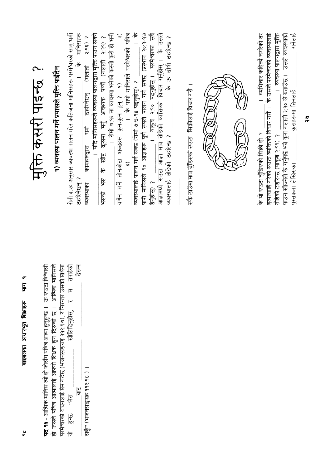|                                                                                                                                                                         | मंक्ति कसरी पाइन्छ ?                                                                                                                                                                                               |
|-------------------------------------------------------------------------------------------------------------------------------------------------------------------------|--------------------------------------------------------------------------------------------------------------------------------------------------------------------------------------------------------------------|
| विश्वासी<br>आसिक मानिसले<br><b>IDPRES</b><br><b>पद १४</b> - आत्मिक मानिस त्यो हो जोसँग पवित्र आत्मा हुनुहुन्छ ।<br>हो जसले पवित्र आत्मालाई आफ्नो शिक्षक हुन दिस्पको छ । | <u>१) व्यवस्था पालन गर्ने प्रयासले मुक्ति पाईंदैन</u>                                                                                                                                                              |
| र म तपाईको<br>परमेश्वरको वचनलाई प्रेम गर्दछ (भजनसङ्ग्रह ११९.९७), र निरन्तर उसको प्रार्थना<br>खोलिदिनुहोस्<br>ारेमः<br>lë<br>hc<br>।<br>सि                               | रोमी ३:२० अनुसार व्यवस्था पालन गरेर कतिजना मानिसहरू परमेश्वरको सामु धर्मी                                                                                                                                          |
| तेशन<br>$\frac{1}{\overline{c}}$                                                                                                                                        | मानिसहरू<br>$\frac{1}{6}$<br>भूम<br>ठहरिनेछन् ?                                                                                                                                                                    |
| सकूँ" (भजनसङ्ग्रह ११९.१८ )                                                                                                                                              | ।   यदि मानिसहरूले व्यवस्था पालनद्वारा मुक्ति पाउन सक्ने<br>$3.98$ ?<br>(गलाती<br>ठहरिनेछन्<br>कामहरूद्वारा<br>ञ्चवस्थाका                                                                                          |
|                                                                                                                                                                         | $2:29)$ ?<br>के खीष्ट कूसमा मर्नु आवश्यक पर्थ्यों (गलाती<br>$\frac{R}{4}$<br>भरुको                                                                                                                                 |
|                                                                                                                                                                         | <u>।</u> रोमी ७:१२ मा व्यवस्था भनेको कस्तो कुरो हो भनी<br>$\widehat{\widetilde{\phantom{w}}}\hspace{0.2cm}$                                                                                                        |
|                                                                                                                                                                         | $\frac{1}{6}$<br>के पापी मानिसले परमेश्वरको पवित्र<br>व्यवस्थालाई पालन गर्न सक्छ (रोमी ७:७-१४ पदनुहोस्) ?<br>$\overline{\phantom{a}}$<br>$\widehat{\widetilde{\mathbf{z}}}$                                        |
|                                                                                                                                                                         | <u>पापी मानिसले १० आज्ञाहरू पूर्ण रूपले पालन गर्न सक्छ (प्रस्थान २०:१-१७</u>                                                                                                                                       |
|                                                                                                                                                                         | आज्ञामध्ये रुउटा आज्ञा मात्र तोडेको व्यक्तिको विचार गर्नुहोस् ।  के उसले<br>परमेश्वरका सबै<br>याकूब २:१० पद्नुहोस् ।<br>हेर्नुहोस्) ?                                                                              |
|                                                                                                                                                                         | । के ऊ दोषी ठहरिन्छ ?<br>व्यवस्थालाई तोडेको ठहरिन्छ ?                                                                                                                                                              |
|                                                                                                                                                                         |                                                                                                                                                                                                                    |
|                                                                                                                                                                         | रुकै ठाउँमा मात्र चुँडिरुको रुउटा  सिक्रीलाई विचार गरौ                                                                                                                                                             |
|                                                                                                                                                                         | ල<br>Ø                                                                                                                                                                                                             |
|                                                                                                                                                                         |                                                                                                                                                                                                                    |
|                                                                                                                                                                         |                                                                                                                                                                                                                    |
|                                                                                                                                                                         |                                                                                                                                                                                                                    |
|                                                                                                                                                                         | । व्यभिचार कहिल्यै नगरेको तर<br>। व्यवस्था पालनद्वारा मुक्ति<br>हत्याचाहिं गरेको रुउटा व्यक्तिको विचार गरौ ।  के उसले परमेश्वरको व्यवस्थालाई<br>तोडेको ठहरिन्छ (याकूब २:११) ?<br>के यी रूउटा चुँडिरूकी सिक्री ही ? |
|                                                                                                                                                                         | गनेलाई<br>पाउन खोज्नेले के गर्नुपर्द्ध भन्ने कुरा गलाती ३:१० ले बताउँछ ।   उसले व्यवस्थाको<br>कुराहरूमा तिनलाई<br>पुस्तकमा लेखिरुका                                                                                |
|                                                                                                                                                                         | స్థ                                                                                                                                                                                                                |

बाइबलका आधारभूत शिक्षाहरू - भाग १

 $\frac{1}{2}$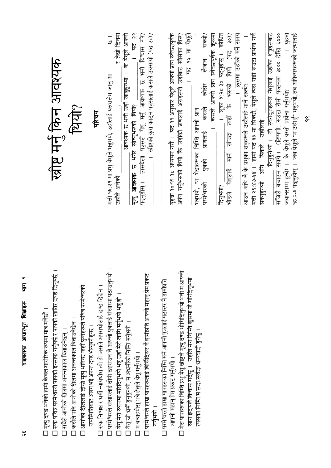| ख़ीष्ट मर्नु किन आवश्यक<br>थिया?<br>परिचय                                                                                                                                                                                                                                                                                                                                                                                                        | २२<br>पृष्<br>।   स्त्रीष्टको कुरा कादन पत्रुसलाई कसले उक्सायो (पद २३)?<br>पदनुहोस् । त्यसबेला पत्रुसले येशू मर्नुं आवश्यक छ भनी विश्वास गरे?<br>र तेस्री द्वित<br>आवश्यक छ भनी उहाँ जान्नुहुन्थ्यो ।  के येशूले आफ्नो<br>।<br>चि<br>मत्ती १६:२१ मा प्रभु येशूले भन्नुभयो, उहाँलाई यरुशलेम जानु आ<br>मृत्यु <b>आवश्यक</b> छ भनेर सोच्नुभरुको थियो?<br>refer strip   | $30)$ ?<br>सजिलै बचाउन सक्थे । (टिप्पणी: रुउटा रोमी पल्टनमा ३००० देखि ६०००<br>१८:२-६ पद्नुहोस् ।   जब येशूले "म उही हुँ" भन्नुभयो, तब अफिसरहरूको जत्थालाई<br>यूहत्रा १०:११-१८ अध्ययन गरौ ।  पद ११ अनुसार येशूले आफ्नो प्राण स्वेच्छापूर्वक<br>अर्पण गर्नुभरुको थियो कि उहाँको प्राणलाई अरुहरूले उहाँबाट खोसेका थिरु?<br><u>। क्रूसमा उहाँको मर्ने समय</u><br>मत्ती २६:४७-४४ । हामी पद १३ मा सिक्छौ, येशूले त्यस घडी रुउटा प्रार्थना गर्न<br>दिनुहुनेथ्यो ।  ती स्वर्गदूतहरूले येशूलाई उहाँका शत्रुहरूबाट<br>यहचा<br>पेश्ले<br>सक्यो?<br>मद १४ मा<br>थियो (पट<br>। लुका ४:२८-३० पढ्नुहोस् ।<br>लेजान<br>के भरूको<br>खोसेर<br>आउन अघि नै के प्रभुका शत्रुहरूले उहाँलाई मार्न सक्थे?<br>जवानसम्म हुन्थे) ।  के येशूले यस्तो प्रार्थना गर्नुभयो?<br>कसले<br>भन्नुभयो, "म भेडाहरूका निर्मित आफ्नो प्राण<br>्रीहरू<br>रि<br>उहाँलाई<br>प्राणलाई<br>भीडले येशूलाई मार्न खोज्दा<br>सक्नुहुन्थ्यो अनि पिताले<br>पुत्रको<br>परमेश्वरको<br>दिनुभयो? |
|--------------------------------------------------------------------------------------------------------------------------------------------------------------------------------------------------------------------------------------------------------------------------------------------------------------------------------------------------------------------------------------------------------------------------------------------------|---------------------------------------------------------------------------------------------------------------------------------------------------------------------------------------------------------------------------------------------------------------------------------------------------------------------------------------------------------------------|------------------------------------------------------------------------------------------------------------------------------------------------------------------------------------------------------------------------------------------------------------------------------------------------------------------------------------------------------------------------------------------------------------------------------------------------------------------------------------------------------------------------------------------------------------------------------------------------------------------------------------------------------------------------------------------------------------------------------------------------------------------------------------------------------------------------------------------------------------------------------------------------------------------------------------------|
| । रुक पवित्र परमेश्वरले पापको इन्साफ गर्नुपर्छ र पापको खातिर दण्ड दिनुपर्छ ।<br>□ आगोको श्रीललाई दौस्रो मृत्यु भनिन्छ जहाँ पुग्नेहरूले पवित्र परमेश्वरको<br>रूक निष्पक्ष र धर्मी न्यायधीश त्यो हो जसले अपराधीलाई दण्ड दिँदैन ।<br>□ मृत्यु दण्ड भनेको हामी केवल शारीरिक रूपमा मात्र मर्नेछौ ।<br>कसैले पनि आगोको श्रीलमा अनन्तकाल बिताउनेछैन ।<br>उपस्थितिबाट अलग भई अनन्त दण्ड भौग्नुपर्ने हुन्छ ।<br>सबैले आगोको श्रीलमा अनन्तकाल बिताउनेछन् । | □ परमेश्वरले संसारलाई दोषी ठहराउन नै आफ्नो पुत्रलाई संसारमा पठाउनुभयो<br>□ परमेश्वरले हाम्रा पापहरूलाई बिर्सिदिरूर नै हामीप्रति आफ्नो महान् प्रेम प्रकट<br>। येशू मेरो स्थानमा मरिदिनुभयो भन्नु उहाँ मेरो लागि मर्नुभयो भन्नु हो ।<br><u>]</u> येशू जी धर्मी हुनुहुन्थ्यो, म अधर्मीको निम्ति मर्नुभयो ।<br>म बचाइयोस् भन्ने हेतुले येशु मर्नुभयो ।<br>$\frac{1}{1}$ | □ मेरा पापहरूका निम्ति प्रभु केए खीष्टले मृत्यु दण्ड भौगिदि नुभयो भनी म आफ्नो<br>सारा हृदयले विश्वास गर्दछु ।   उहाँले मेरा निम्ति क्रूसमा जे गरिदिनुभयो<br>□ परमेश्वरले हाम्रा पापहरूका निम्ति मर्न आफ्नो पुत्रलाई पठास्थ नै हामीप्रति<br>त्यसका निम्ति म सदा-सर्वदा धन्यवादी हुनेछु<br>आफ्नो महान् प्रेम प्रकट गर्नुभयो ।                                                                                                                                                                                                                                                                                                                                                                                                                                                                                                                                                                                                              |

बाइबलका आधारभूत शिक्षाहरू - भाग १

 $\frac{\alpha}{\sigma}$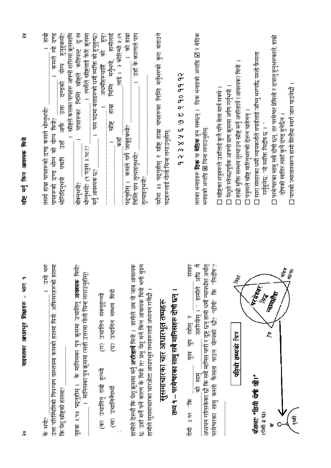| उसे मेर<br>हातमा<br>उक्त परिस्थितिको नियन्त्रण वास्तवमा कसको हातमा थियो: अफिसरहरूको<br>र्के भयौ?                                                                        | 怎<br>कसले त्यो दण्ड<br>तसर्थ हाम्रा पापहरूको दण्ड कसले भोग्नुभयो?<br>को योग्य थियो?<br>पापहरूको दण्ड भौग्न                                           |
|-------------------------------------------------------------------------------------------------------------------------------------------------------------------------|------------------------------------------------------------------------------------------------------------------------------------------------------|
| कि येशू खीष्टको हातमा?                                                                                                                                                  | हुनुहुन्ध्यो?<br>खीष्टले कसका पापहरू आफ्नो शरीरमा क्रूसमाथि<br>योग्य<br>दण्डको<br>$\frac{1}{2}$<br>ी<br>उन्<br>$\frac{1}{2}$<br>यदापि<br>भौगिदिनुभयो |
| थियो?<br>३:१४ पढ्नुहोस् ।  के मानिसका पुत्र कृसमा उचालिनु <b>आवश्यक</b><br>यूहचा                                                                                        | पापहरूका निर्मित खीष्टले कतिपल्ट दुःख<br>बोकनुभयो?                                                                                                   |
| ।   मानिसका पुत्र क्रूसमा (सही उत्तरमा गोलो चिन्ह लगाउनुहोस्)                                                                                                           | । त्यसैले ख्रीष्टलाई फेरि क्रूसमा<br>भौग्नुभयौ? (१ पत्रुस ३:१८)?                                                                                     |
| (ग) उचालिन सक्नुहुन्थ्यो<br>(क) उचालिनु राम्री हुन्थ्यी                                                                                                                 | यस पदमा बताइरुको धर्मी व्यक्ति को हुनुहुन्छ?<br>$\frac{1}{\sqrt{6}}$<br>अधर्मीहरूचाहि<br>मर्नु आवश्यक छ?                                             |
| उचालिन सम्भव थियो<br>ত্ৰি<br>(ख) उचालिनैपर्थ्यो                                                                                                                         | $\sum_{n=0}^{\infty}$<br>हामीलाई<br>निमि मर्नुभयो,<br><b>IRIL</b><br>खेळि                                                                            |
|                                                                                                                                                                         | लाई। २ कोरिन्थी श.२१<br>$\frac{1}{6}$                                                                                                                |
|                                                                                                                                                                         | को होम्र<br>पद्नुहोस् ।  कसले पापै जात्रुहुत्रथ्यो?                                                                                                  |
| हामीले देख्यौ कि येशू क्रूसमा मर्नु <b>अपरिहार्य</b> थियो ।   हामीले अब यो जान्न आवश्यक<br>छ: उहाँ मनैं पर्ने कारण के थियो त? प्रभु येशू मर्न किन आवश्यक थियो भनी बुझ्न | । उहाँ के कारणले पाप<br>निम्ति पाप तुल्याइनुभया?                                                                                                     |
| हामीले सुसमाचारका चारऑटा अधारभूत तथ्यहरूलाई अध्ययन गर्नेछौ ।                                                                                                            | तुल्याइनुभयो?                                                                                                                                        |
| सुसमाचारका चार आधारभूत तथ्यहरू                                                                                                                                          | पदहरूलाई गोली चिन्ह लगाउनुहोस्                                                                                                                       |
| तथ्य १ – परमेश्वरका सामु सबै मानिसहरू दोषी छन्                                                                                                                          |                                                                                                                                                      |
|                                                                                                                                                                         |                                                                                                                                                      |
| संसार<br>मुख चुप रहोस् र<br>$3.98 - F$<br>凭                                                                                                                             |                                                                                                                                                      |
| 尓<br>ठहरियोस् । " हामीले अधि<br>$\overline{\overline{\overline{t}}}$<br>ब्रि                                                                                            | तलका भनाइहरू <b>ठिक</b> या <b>बेठिक</b> हुन सक्छन् ।  ठिक भनाइको अगाडि ⊠ र बेठिक                                                                     |
| अध्ययन गरिसकेका छौ कि सबै मानिस पापी र दुष्ट छन् हामी धर्मी न्यायधीश अर्थात्<br>परमेश्वरका  सामु  कस्तो  फैसला  पाउन  योग्यको  छौ?  "दोषी"  कि  "निर्दोष"?              | भनाइको अगाडि <b>⊠</b> चिन्ह लगाउनुहोस्:                                                                                                              |
|                                                                                                                                                                         | □ खीष्टका शत्रुहरूले उहाँलाई कुनै पनि बेला मार्न सक्थे ।                                                                                             |
|                                                                                                                                                                         | □ पेशूले स्वेच्छापूर्वक आफ्नो प्राण क्रूसमा अर्पण गर्नुभयो ।                                                                                         |
| $\mathcal{P}_{\alpha\gamma}$<br>पहिलो तष्यको चित्र                                                                                                                      | । हाम्रो मुक्ति सम्भव तुल्याउन खीष्ट मर्नु अपरिहार्य (आवश्यक) थियो ।                                                                                 |
|                                                                                                                                                                         | पत्रुसले खीष्ट मारिनुभरुको देरून चाहेनन् ।                                                                                                           |
| <b>RANGE</b><br>$\mathcal{L}$<br>$\frac{1}{10}$ $\frac{1}{10}$ $\frac{1}{10}$ $\frac{1}{10}$ $\frac{1}{10}$ $\frac{1}{10}$ $\frac{1}{10}$ $\frac{1}{10}$<br>$(1 + 2)$   | □ सारा संसारका धर्मी न्यायकर्ताले तपाईलाई जाँच्नु भरुपछि यस्तो फैसला<br>गनुहुनेछ: "यो व्यक्ति निर्दोष छ । "                                          |
| <b>RIVERS</b><br>À,<br>F                                                                                                                                                | □ परमेश्वरका सामु सबै दोषी छन्, तर परमेश्वर प्रेमिलो र दयालु हुनुभरुकाले, हाम्रो                                                                     |
| $\hat{\pi}$                                                                                                                                                             | दोषको खातिर त्यहाँ कुनै दण्ड हुनेछैन ।                                                                                                               |
| <b>RES</b><br>पूजी                                                                                                                                                      | □ पापको ज्यालास्वरूप हामी सित्तैमा स्वर्ग जान पाउनेछौ                                                                                                |

 $\vec{\alpha}$ 

स्रीष्ट मर्नु किन आवश्यक थियो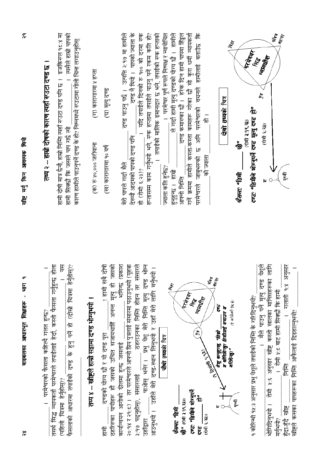| बाइबलका आधारभूत शिक्षाहरू - भाग<br>$\frac{8}{3}$                                                                                                                                                                   | $\tilde{\mathbf{z}}$<br>किन आवश्यक थियी<br>राष्ट मर्नु                                                                                                                                                                                 |
|--------------------------------------------------------------------------------------------------------------------------------------------------------------------------------------------------------------------|----------------------------------------------------------------------------------------------------------------------------------------------------------------------------------------------------------------------------------------|
| । परमेश्वरको फैसला कहिल्यै गलत हुन्छ?                                                                                                                                                                              | तथ्य २ -- हाम्री दोषको कारण त्यहाँ रुउटा दण्ड छ ।                                                                                                                                                                                      |
| $\mathbb{F}$<br>फैसलाको आधारमा तपाईको दण्ड के हुनु पर्ने हो (दोस्रो चित्रमा हेर्नुहोस्)?<br><u>केला</u><br>तसर्थ सिद्ध न्यायकर्ता परमेश्वरले तपाईलाई हेर्दा, कस्तो फैसला गर्नुहुन्छ<br>(पहिलो चित्रमा हेर्नुहोस्)? | <u>देवक्षिकले १८.१ मा</u><br>त्यसैले हाम्री पापकी<br>कारण हामीले पाउनुपर्ने दण्ड के हो? निम्नमध्ये रुउटामा गोलो चिन्ह लगाउनुहोस्<br>हामी दोषी मात्र छैनौ, हाम्रो निम्ति त्यहाँ रुउटा दण्ड पनि छ ।<br>हामी सिक्छौ कि जसले पाप गर्छ त्यो |
| तथ्य ४ -- ख्रीष्टले हाम्रो सहामा दण्ड भोग्नुभयो                                                                                                                                                                    | (ग) कारागारमा १ हप्ता<br>(क) रु १०,००० जरीवाना                                                                                                                                                                                         |
| 君<br>क्सका<br>! हामी सबै<br>ठहरिरुका पापीहरू हौ जसको उचित सजायनाहिँ अनन्त मृत्यु हो<br>दण्डको योग्य छौ र यो दण्ड पूरा<br>信                                                                                         | (घ) मृत्यु दण्ड<br>(ख) कारागारमा १० वर्ष                                                                                                                                                                                               |
| भनिन्छ (प्रकाश<br>(यहचा<br>२०:१४ र २९:८) । तर परमेश्वरले आफ्नो प्रिय पुत्रलाई संसारमा पठाउनुभयो (<br>कार्यान्वयन आगोको दीलमा हुन्छ जसलाई                                                                           | दण्ड नै थियो । पापको ज्याला के<br>दण्ड पाउनु पर्छ ।  उत्पत्ति २:१७ मा हामीले<br>देख्यौँ आदमको पापको दण्ड पनि<br>पैर पान करने मैरी                                                                                                      |
| नेगिर<br>स्मिरले<br>$\frac{1}{\sqrt{2}}$<br>ठहराउनका निर्मित होइन तर स<br>$\mathbb{F}^5$<br>प्रभु येशू मेरी निम्ति<br>पाओस् भनेर।<br>संसारलाई<br>३:१७ पद्नुहोस्),<br>उहाँद्वारा                                    | यदि तपाईले दिनको रु १०० को दरमा रुक<br>हप्तासम्म काम गर्नुभयो भने, रुक हप्तामा तपाईले पाउनु पर्ने रकम कति हो?<br>हो (रोमी ६:२३)?                                                                                                       |
| $\sum_{i=1}^{n}$<br>चौथो तथ्यको चित्र                                                                                                                                                                              | तपाईको मालिक इमानदार छ भने, तपाईको रुक हप्ताको<br>परमेश्वर पूर्ण रूपले निष्पक्ष र न्यायोचित<br>$\overline{a}$<br>ज्याला कति हुनेछ?                                                                                                     |
| ख्रौ" (रोमी ३:१९,२३)।<br>क्तैसलाः "तिमी                                                                                                                                                                            | दण्ड कमारुका छौ ।  हरेक दिन हामी पापमा हिँड्रुल<br>ले गर्दा हामी मृत्यु दण्डको योग्य छौ ।  हामीले<br>可应<br>不可作用<br> <br>हन्द्र<br>                                                                                                     |
| Turkiya<br>K<br>MARINA<br>$\mathbf{r}_i$<br>$\mathcal{L}_i$<br>rbridge "Gde" issue<br>눊<br>Ę                                                                                                                       | कामहरू गरेका छौ स्रो कुरा धर्मी न्यायकर्ता<br>₫<br>परमेश्वरको वचनले हामीलाई बताउँछ<br>俣<br>गर्ने क्रममा हामीले कस्ता-कस्ता<br>$\overline{\mathcal{B}}$<br>जानुभरुको<br>परमेश्वरले                                                      |
| $\psi$<br>The Mallach of<br>्तिमी ६:खे।                                                                                                                                                                            | 一位<br>को ज्याला                                                                                                                                                                                                                        |
| <b>AFRE</b><br>ę<br>म गोपिदिन्छु। तिमीलाई बचाउन म<br>येशू मन्नुहुन्छ, "तिम्रो                                                                                                                                      | चित्र<br>दोसो तथ्यको                                                                                                                                                                                                                   |
| (१ कोरिसी १४:३)<br>गरित्या"<br>ţ                                                                                                                                                                                   | È<br>扃<br>क्रैसलाः "तिमी                                                                                                                                                                                                               |
| <u>9 कोरिन्थी १५:३ अनुसार प्रभु के हले निम्ति के गरिदिनुभयो?</u><br>$\overline{\phantom{0}}$                                                                                                                       | <b>REFERENCE</b><br>$\mathbf{r}$<br>È,<br>忘<br><i>दण्डः "</i> तिमीले भोग्नुपर्ने दण्ड मृत्यु दण्ड<br>(रोमी ३:१९,२३)                                                                                                                    |
| चेश्ट्रे<br>信<br>५.६ अनुसार खीष्ट कस्तो खालका मानिसहरूका<br>मैले पाउनु पर्ने मृत्यु दण्ड<br>म<br>स्र<br>मेंगिदिनुभयो ।                                                                                             | Mariba<br>(रोमी ६:२३)                                                                                                                                                                                                                  |
| गलाती १:४ अनुसार<br>रोमी ५:ट बाट हामी सिक्ख्रै कि हामी<br>作<br>हुँदा-हुँदै स्त्रीष्ट<br>मन्भयो?                                                                                                                    | $\hat{\mathcal{E}}$<br><b>REAL</b><br>हू                                                                                                                                                                                               |
| स्रीष्टले कसका पापहरूका निम्ति आफैलाई दिइहाल्नुभयो?                                                                                                                                                                |                                                                                                                                                                                                                                        |

स्रीष्ट मर्नु किन आवश्यक थियो

बाइबलका आधारभूत शिक्षाहरू - भाग १